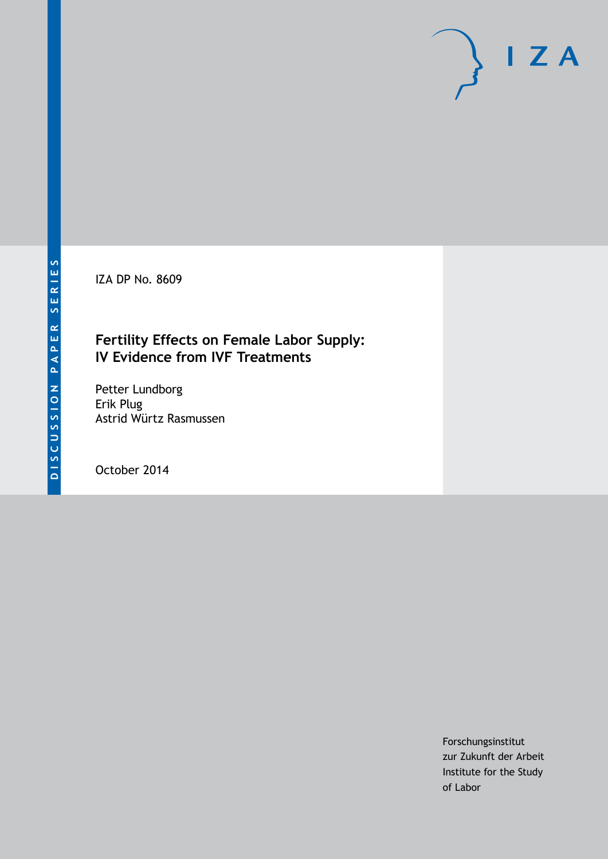IZA DP No. 8609

## **Fertility Effects on Female Labor Supply: IV Evidence from IVF Treatments**

Petter Lundborg Erik Plug Astrid Würtz Rasmussen

October 2014

Forschungsinstitut zur Zukunft der Arbeit Institute for the Study of Labor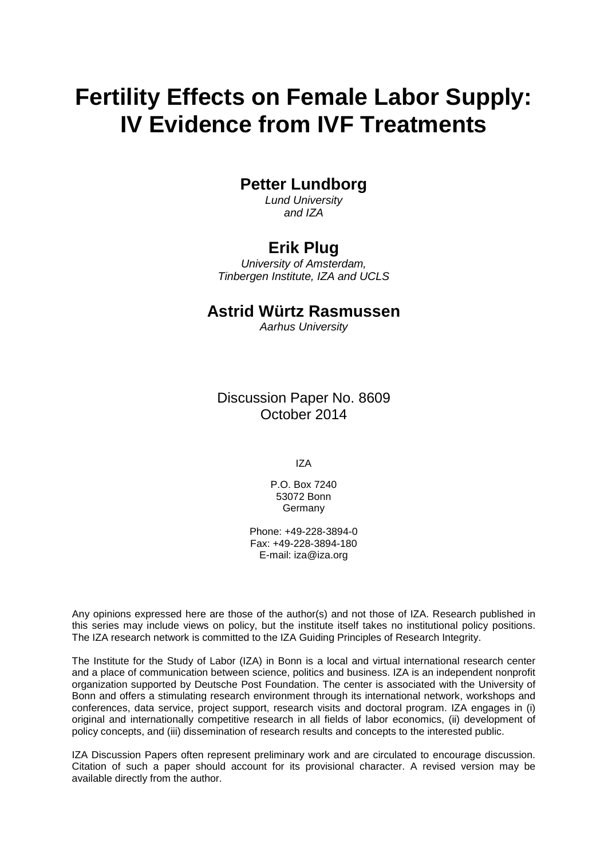# **Fertility Effects on Female Labor Supply: IV Evidence from IVF Treatments**

## **Petter Lundborg**

*Lund University and IZA*

## **Erik Plug**

*University of Amsterdam, Tinbergen Institute, IZA and UCLS*

## **Astrid Würtz Rasmussen**

*Aarhus University*

Discussion Paper No. 8609 October 2014

IZA

P.O. Box 7240 53072 Bonn **Germany** 

Phone: +49-228-3894-0 Fax: +49-228-3894-180 E-mail: [iza@iza.org](mailto:iza@iza.org)

Any opinions expressed here are those of the author(s) and not those of IZA. Research published in this series may include views on policy, but the institute itself takes no institutional policy positions. The IZA research network is committed to the IZA Guiding Principles of Research Integrity.

The Institute for the Study of Labor (IZA) in Bonn is a local and virtual international research center and a place of communication between science, politics and business. IZA is an independent nonprofit organization supported by Deutsche Post Foundation. The center is associated with the University of Bonn and offers a stimulating research environment through its international network, workshops and conferences, data service, project support, research visits and doctoral program. IZA engages in (i) original and internationally competitive research in all fields of labor economics, (ii) development of policy concepts, and (iii) dissemination of research results and concepts to the interested public.

<span id="page-1-0"></span>IZA Discussion Papers often represent preliminary work and are circulated to encourage discussion. Citation of such a paper should account for its provisional character. A revised version may be available directly from the author.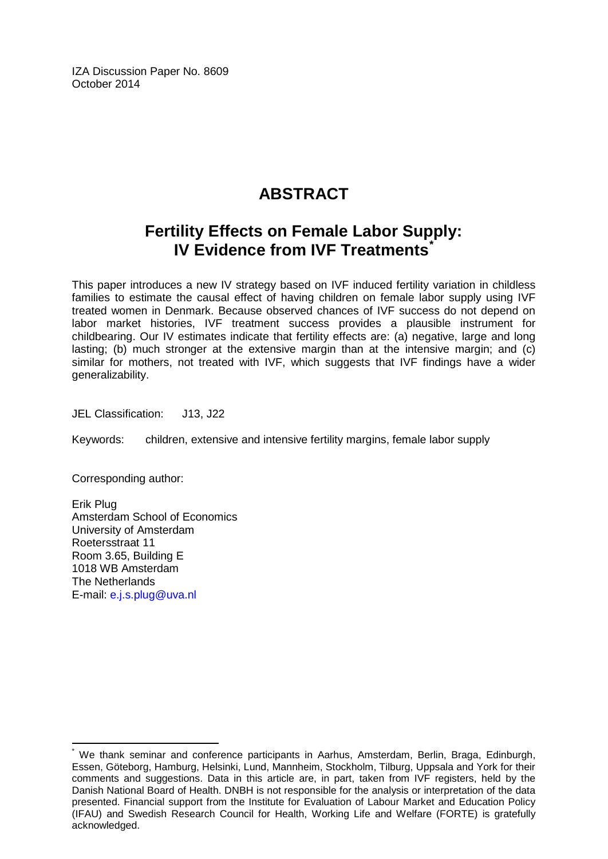IZA Discussion Paper No. 8609 October 2014

## **ABSTRACT**

## **Fertility Effects on Female Labor Supply: IV Evidence from IVF Treatments[\\*](#page-1-0)**

This paper introduces a new IV strategy based on IVF induced fertility variation in childless families to estimate the causal effect of having children on female labor supply using IVF treated women in Denmark. Because observed chances of IVF success do not depend on labor market histories, IVF treatment success provides a plausible instrument for childbearing. Our IV estimates indicate that fertility effects are: (a) negative, large and long lasting; (b) much stronger at the extensive margin than at the intensive margin; and (c) similar for mothers, not treated with IVF, which suggests that IVF findings have a wider generalizability.

JEL Classification: J13, J22

Keywords: children, extensive and intensive fertility margins, female labor supply

Corresponding author:

Erik Plug Amsterdam School of Economics University of Amsterdam Roetersstraat 11 Room 3.65, Building E 1018 WB Amsterdam The Netherlands E-mail: [e.j.s.plug@uva.nl](mailto:e.j.s.plug@uva.nl)

We thank seminar and conference participants in Aarhus, Amsterdam, Berlin, Braga, Edinburgh, Essen, Göteborg, Hamburg, Helsinki, Lund, Mannheim, Stockholm, Tilburg, Uppsala and York for their comments and suggestions. Data in this article are, in part, taken from IVF registers, held by the Danish National Board of Health. DNBH is not responsible for the analysis or interpretation of the data presented. Financial support from the Institute for Evaluation of Labour Market and Education Policy (IFAU) and Swedish Research Council for Health, Working Life and Welfare (FORTE) is gratefully acknowledged.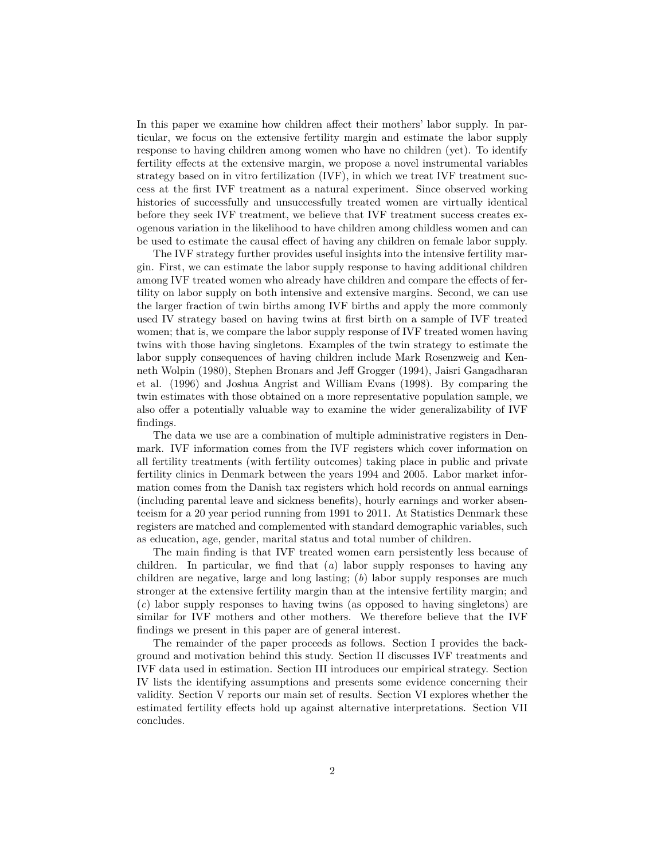In this paper we examine how children affect their mothers' labor supply. In particular, we focus on the extensive fertility margin and estimate the labor supply response to having children among women who have no children (yet). To identify fertility effects at the extensive margin, we propose a novel instrumental variables strategy based on in vitro fertilization (IVF), in which we treat IVF treatment success at the first IVF treatment as a natural experiment. Since observed working histories of successfully and unsuccessfully treated women are virtually identical before they seek IVF treatment, we believe that IVF treatment success creates exogenous variation in the likelihood to have children among childless women and can be used to estimate the causal effect of having any children on female labor supply.

The IVF strategy further provides useful insights into the intensive fertility margin. First, we can estimate the labor supply response to having additional children among IVF treated women who already have children and compare the effects of fertility on labor supply on both intensive and extensive margins. Second, we can use the larger fraction of twin births among IVF births and apply the more commonly used IV strategy based on having twins at first birth on a sample of IVF treated women; that is, we compare the labor supply response of IVF treated women having twins with those having singletons. Examples of the twin strategy to estimate the labor supply consequences of having children include Mark Rosenzweig and Kenneth Wolpin (1980), Stephen Bronars and Jeff Grogger (1994), Jaisri Gangadharan et al. (1996) and Joshua Angrist and William Evans (1998). By comparing the twin estimates with those obtained on a more representative population sample, we also offer a potentially valuable way to examine the wider generalizability of IVF findings.

The data we use are a combination of multiple administrative registers in Denmark. IVF information comes from the IVF registers which cover information on all fertility treatments (with fertility outcomes) taking place in public and private fertility clinics in Denmark between the years 1994 and 2005. Labor market information comes from the Danish tax registers which hold records on annual earnings (including parental leave and sickness benefits), hourly earnings and worker absenteeism for a 20 year period running from 1991 to 2011. At Statistics Denmark these registers are matched and complemented with standard demographic variables, such as education, age, gender, marital status and total number of children.

The main finding is that IVF treated women earn persistently less because of children. In particular, we find that (*a*) labor supply responses to having any children are negative, large and long lasting; (*b*) labor supply responses are much stronger at the extensive fertility margin than at the intensive fertility margin; and (*c*) labor supply responses to having twins (as opposed to having singletons) are similar for IVF mothers and other mothers. We therefore believe that the IVF findings we present in this paper are of general interest.

The remainder of the paper proceeds as follows. Section I provides the background and motivation behind this study. Section II discusses IVF treatments and IVF data used in estimation. Section III introduces our empirical strategy. Section IV lists the identifying assumptions and presents some evidence concerning their validity. Section V reports our main set of results. Section VI explores whether the estimated fertility effects hold up against alternative interpretations. Section VII concludes.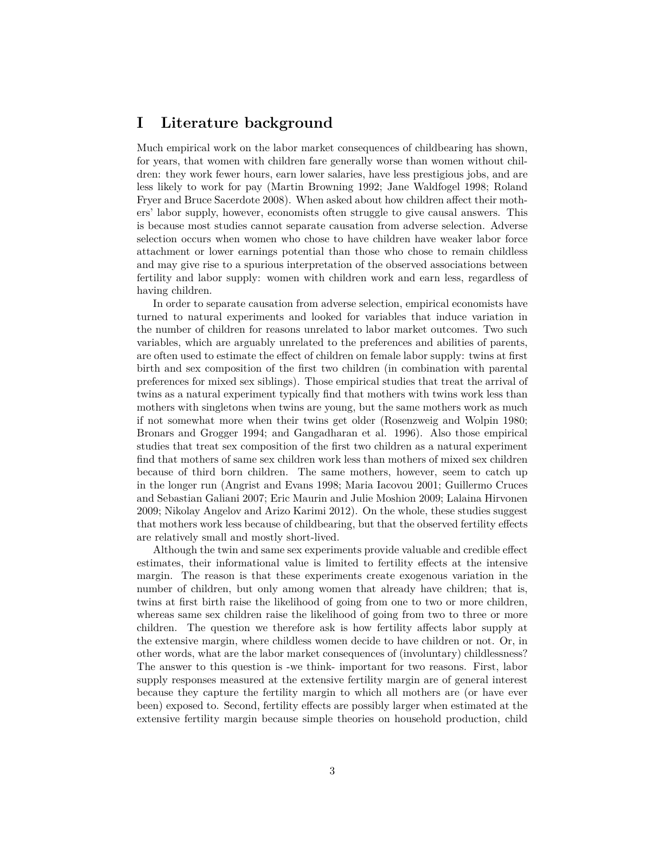## **I Literature background**

Much empirical work on the labor market consequences of childbearing has shown, for years, that women with children fare generally worse than women without children: they work fewer hours, earn lower salaries, have less prestigious jobs, and are less likely to work for pay (Martin Browning 1992; Jane Waldfogel 1998; Roland Fryer and Bruce Sacerdote 2008). When asked about how children affect their mothers' labor supply, however, economists often struggle to give causal answers. This is because most studies cannot separate causation from adverse selection. Adverse selection occurs when women who chose to have children have weaker labor force attachment or lower earnings potential than those who chose to remain childless and may give rise to a spurious interpretation of the observed associations between fertility and labor supply: women with children work and earn less, regardless of having children.

In order to separate causation from adverse selection, empirical economists have turned to natural experiments and looked for variables that induce variation in the number of children for reasons unrelated to labor market outcomes. Two such variables, which are arguably unrelated to the preferences and abilities of parents, are often used to estimate the effect of children on female labor supply: twins at first birth and sex composition of the first two children (in combination with parental preferences for mixed sex siblings). Those empirical studies that treat the arrival of twins as a natural experiment typically find that mothers with twins work less than mothers with singletons when twins are young, but the same mothers work as much if not somewhat more when their twins get older (Rosenzweig and Wolpin 1980; Bronars and Grogger 1994; and Gangadharan et al. 1996). Also those empirical studies that treat sex composition of the first two children as a natural experiment find that mothers of same sex children work less than mothers of mixed sex children because of third born children. The same mothers, however, seem to catch up in the longer run (Angrist and Evans 1998; Maria Iacovou 2001; Guillermo Cruces and Sebastian Galiani 2007; Eric Maurin and Julie Moshion 2009; Lalaina Hirvonen 2009; Nikolay Angelov and Arizo Karimi 2012). On the whole, these studies suggest that mothers work less because of childbearing, but that the observed fertility effects are relatively small and mostly short-lived.

Although the twin and same sex experiments provide valuable and credible effect estimates, their informational value is limited to fertility effects at the intensive margin. The reason is that these experiments create exogenous variation in the number of children, but only among women that already have children; that is, twins at first birth raise the likelihood of going from one to two or more children, whereas same sex children raise the likelihood of going from two to three or more children. The question we therefore ask is how fertility affects labor supply at the extensive margin, where childless women decide to have children or not. Or, in other words, what are the labor market consequences of (involuntary) childlessness? The answer to this question is -we think- important for two reasons. First, labor supply responses measured at the extensive fertility margin are of general interest because they capture the fertility margin to which all mothers are (or have ever been) exposed to. Second, fertility effects are possibly larger when estimated at the extensive fertility margin because simple theories on household production, child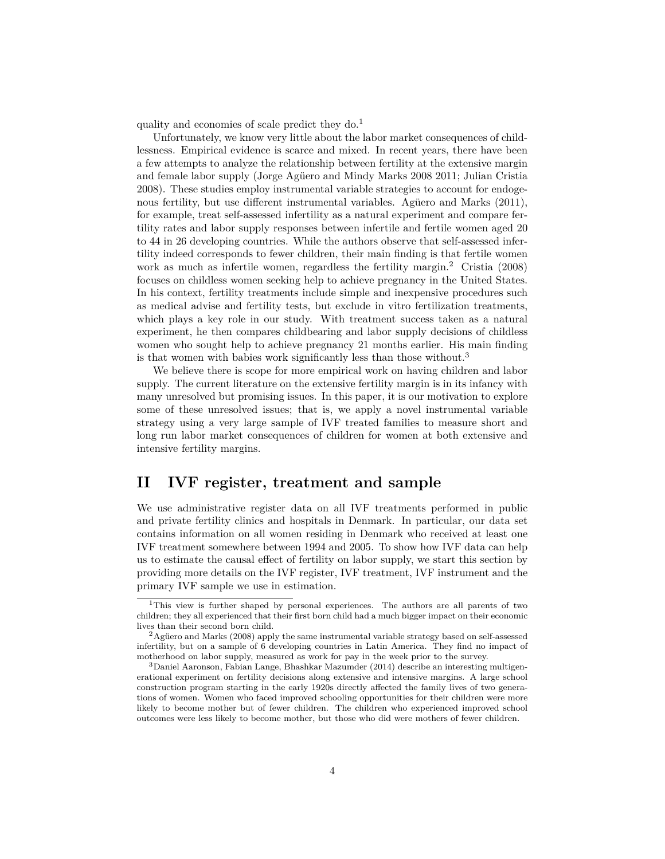quality and economies of scale predict they do.<sup>1</sup>

Unfortunately, we know very little about the labor market consequences of childlessness. Empirical evidence is scarce and mixed. In recent years, there have been a few attempts to analyze the relationship between fertility at the extensive margin and female labor supply (Jorge Agüero and Mindy Marks 2008 2011; Julian Cristia 2008). These studies employ instrumental variable strategies to account for endogenous fertility, but use different instrumental variables. Agüero and Marks (2011), for example, treat self-assessed infertility as a natural experiment and compare fertility rates and labor supply responses between infertile and fertile women aged 20 to 44 in 26 developing countries. While the authors observe that self-assessed infertility indeed corresponds to fewer children, their main finding is that fertile women work as much as infertile women, regardless the fertility margin.<sup>2</sup> Cristia (2008) focuses on childless women seeking help to achieve pregnancy in the United States. In his context, fertility treatments include simple and inexpensive procedures such as medical advise and fertility tests, but exclude in vitro fertilization treatments, which plays a key role in our study. With treatment success taken as a natural experiment, he then compares childbearing and labor supply decisions of childless women who sought help to achieve pregnancy 21 months earlier. His main finding is that women with babies work significantly less than those without.<sup>3</sup>

We believe there is scope for more empirical work on having children and labor supply. The current literature on the extensive fertility margin is in its infancy with many unresolved but promising issues. In this paper, it is our motivation to explore some of these unresolved issues; that is, we apply a novel instrumental variable strategy using a very large sample of IVF treated families to measure short and long run labor market consequences of children for women at both extensive and intensive fertility margins.

## **II IVF register, treatment and sample**

We use administrative register data on all IVF treatments performed in public and private fertility clinics and hospitals in Denmark. In particular, our data set contains information on all women residing in Denmark who received at least one IVF treatment somewhere between 1994 and 2005. To show how IVF data can help us to estimate the causal effect of fertility on labor supply, we start this section by providing more details on the IVF register, IVF treatment, IVF instrument and the primary IVF sample we use in estimation.

<sup>&</sup>lt;sup>1</sup>This view is further shaped by personal experiences. The authors are all parents of two children; they all experienced that their first born child had a much bigger impact on their economic lives than their second born child.

 ${}^{2}$ Agüero and Marks (2008) apply the same instrumental variable strategy based on self-assessed infertility, but on a sample of 6 developing countries in Latin America. They find no impact of motherhood on labor supply, measured as work for pay in the week prior to the survey.

<sup>3</sup>Daniel Aaronson, Fabian Lange, Bhashkar Mazumder (2014) describe an interesting multigenerational experiment on fertility decisions along extensive and intensive margins. A large school construction program starting in the early 1920s directly affected the family lives of two generations of women. Women who faced improved schooling opportunities for their children were more likely to become mother but of fewer children. The children who experienced improved school outcomes were less likely to become mother, but those who did were mothers of fewer children.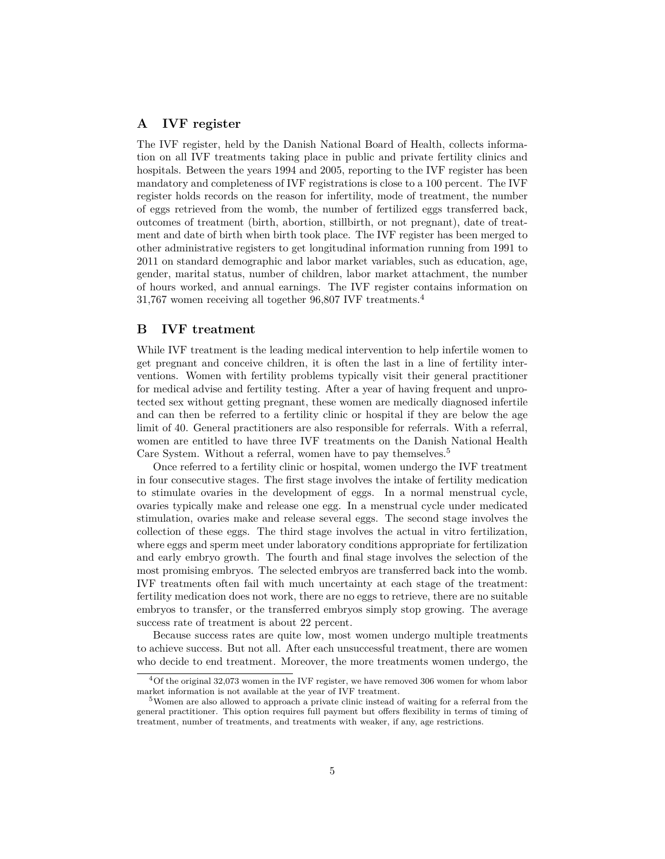#### **A IVF register**

The IVF register, held by the Danish National Board of Health, collects information on all IVF treatments taking place in public and private fertility clinics and hospitals. Between the years 1994 and 2005, reporting to the IVF register has been mandatory and completeness of IVF registrations is close to a 100 percent. The IVF register holds records on the reason for infertility, mode of treatment, the number of eggs retrieved from the womb, the number of fertilized eggs transferred back, outcomes of treatment (birth, abortion, stillbirth, or not pregnant), date of treatment and date of birth when birth took place. The IVF register has been merged to other administrative registers to get longitudinal information running from 1991 to 2011 on standard demographic and labor market variables, such as education, age, gender, marital status, number of children, labor market attachment, the number of hours worked, and annual earnings. The IVF register contains information on 31,767 women receiving all together 96,807 IVF treatments.<sup>4</sup>

#### **B IVF treatment**

While IVF treatment is the leading medical intervention to help infertile women to get pregnant and conceive children, it is often the last in a line of fertility interventions. Women with fertility problems typically visit their general practitioner for medical advise and fertility testing. After a year of having frequent and unprotected sex without getting pregnant, these women are medically diagnosed infertile and can then be referred to a fertility clinic or hospital if they are below the age limit of 40. General practitioners are also responsible for referrals. With a referral, women are entitled to have three IVF treatments on the Danish National Health Care System. Without a referral, women have to pay themselves.<sup>5</sup>

Once referred to a fertility clinic or hospital, women undergo the IVF treatment in four consecutive stages. The first stage involves the intake of fertility medication to stimulate ovaries in the development of eggs. In a normal menstrual cycle, ovaries typically make and release one egg. In a menstrual cycle under medicated stimulation, ovaries make and release several eggs. The second stage involves the collection of these eggs. The third stage involves the actual in vitro fertilization, where eggs and sperm meet under laboratory conditions appropriate for fertilization and early embryo growth. The fourth and final stage involves the selection of the most promising embryos. The selected embryos are transferred back into the womb. IVF treatments often fail with much uncertainty at each stage of the treatment: fertility medication does not work, there are no eggs to retrieve, there are no suitable embryos to transfer, or the transferred embryos simply stop growing. The average success rate of treatment is about 22 percent.

Because success rates are quite low, most women undergo multiple treatments to achieve success. But not all. After each unsuccessful treatment, there are women who decide to end treatment. Moreover, the more treatments women undergo, the

<sup>4</sup>Of the original 32,073 women in the IVF register, we have removed 306 women for whom labor market information is not available at the year of IVF treatment.

<sup>5</sup>Women are also allowed to approach a private clinic instead of waiting for a referral from the general practitioner. This option requires full payment but offers flexibility in terms of timing of treatment, number of treatments, and treatments with weaker, if any, age restrictions.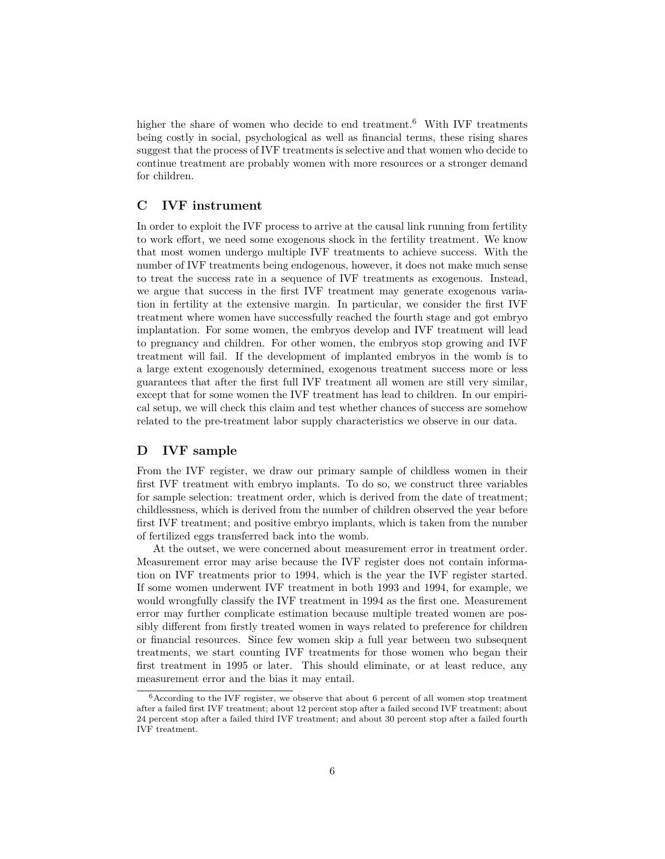higher the share of women who decide to end treatment.<sup>6</sup> With IVF treatments being costly in social, psychological as well as financial terms, these rising shares suggest that the process of IVF treatments is selective and that women who decide to continue treatment are probably women with more resources or a stronger demand for children.

### **C IVF instrument**

In order to exploit the IVF process to arrive at the causal link running from fertility to work effort, we need some exogenous shock in the fertility treatment. We know that most women undergo multiple IVF treatments to achieve success. With the number of IVF treatments being endogenous, however, it does not make much sense to treat the success rate in a sequence of IVF treatments as exogenous. Instead, we argue that success in the first IVF treatment may generate exogenous variation in fertility at the extensive margin. In particular, we consider the first IVF treatment where women have successfully reached the fourth stage and got embryo implantation. For some women, the embryos develop and IVF treatment will lead to pregnancy and children. For other women, the embryos stop growing and IVF treatment will fail. If the development of implanted embryos in the womb is to a large extent exogenously determined, exogenous treatment success more or less guarantees that after the first full IVF treatment all women are still very similar, except that for some women the IVF treatment has lead to children. In our empirical setup, we will check this claim and test whether chances of success are somehow related to the pre-treatment labor supply characteristics we observe in our data.

### **D IVF sample**

From the IVF register, we draw our primary sample of childless women in their first IVF treatment with embryo implants. To do so, we construct three variables for sample selection: treatment order, which is derived from the date of treatment; childlessness, which is derived from the number of children observed the year before first IVF treatment; and positive embryo implants, which is taken from the number of fertilized eggs transferred back into the womb.

At the outset, we were concerned about measurement error in treatment order. Measurement error may arise because the IVF register does not contain information on IVF treatments prior to 1994, which is the year the IVF register started. If some women underwent IVF treatment in both 1993 and 1994, for example, we would wrongfully classify the IVF treatment in 1994 as the first one. Measurement error may further complicate estimation because multiple treated women are possibly different from firstly treated women in ways related to preference for children or financial resources. Since few women skip a full year between two subsequent treatments, we start counting IVF treatments for those women who began their first treatment in 1995 or later. This should eliminate, or at least reduce, any measurement error and the bias it may entail.

 $6$ According to the IVF register, we observe that about 6 percent of all women stop treatment after a failed first IVF treatment; about 12 percent stop after a failed second IVF treatment; about 24 percent stop after a failed third IVF treatment; and about 30 percent stop after a failed fourth IVF treatment.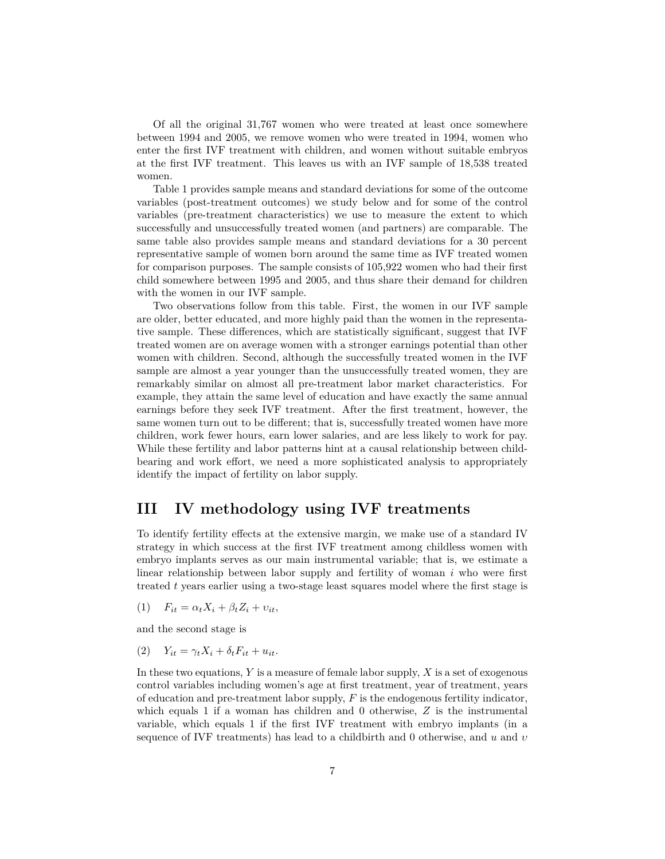Of all the original 31,767 women who were treated at least once somewhere between 1994 and 2005, we remove women who were treated in 1994, women who enter the first IVF treatment with children, and women without suitable embryos at the first IVF treatment. This leaves us with an IVF sample of 18,538 treated women.

Table 1 provides sample means and standard deviations for some of the outcome variables (post-treatment outcomes) we study below and for some of the control variables (pre-treatment characteristics) we use to measure the extent to which successfully and unsuccessfully treated women (and partners) are comparable. The same table also provides sample means and standard deviations for a 30 percent representative sample of women born around the same time as IVF treated women for comparison purposes. The sample consists of 105,922 women who had their first child somewhere between 1995 and 2005, and thus share their demand for children with the women in our IVF sample.

Two observations follow from this table. First, the women in our IVF sample are older, better educated, and more highly paid than the women in the representative sample. These differences, which are statistically significant, suggest that IVF treated women are on average women with a stronger earnings potential than other women with children. Second, although the successfully treated women in the IVF sample are almost a year younger than the unsuccessfully treated women, they are remarkably similar on almost all pre-treatment labor market characteristics. For example, they attain the same level of education and have exactly the same annual earnings before they seek IVF treatment. After the first treatment, however, the same women turn out to be different; that is, successfully treated women have more children, work fewer hours, earn lower salaries, and are less likely to work for pay. While these fertility and labor patterns hint at a causal relationship between childbearing and work effort, we need a more sophisticated analysis to appropriately identify the impact of fertility on labor supply.

## **III IV methodology using IVF treatments**

To identify fertility effects at the extensive margin, we make use of a standard IV strategy in which success at the first IVF treatment among childless women with embryo implants serves as our main instrumental variable; that is, we estimate a linear relationship between labor supply and fertility of woman *i* who were first treated *t* years earlier using a two-stage least squares model where the first stage is

 $F_{it} = \alpha_t X_i + \beta_t Z_i + v_{it}$ 

and the second stage is

 $(Y_i)$   $Y_{it} = \gamma_t X_i + \delta_t F_{it} + u_{it}.$ 

In these two equations, *Y* is a measure of female labor supply, *X* is a set of exogenous control variables including women's age at first treatment, year of treatment, years of education and pre-treatment labor supply, *F* is the endogenous fertility indicator, which equals 1 if a woman has children and 0 otherwise, *Z* is the instrumental variable, which equals 1 if the first IVF treatment with embryo implants (in a sequence of IVF treatments) has lead to a childbirth and 0 otherwise, and *u* and *υ*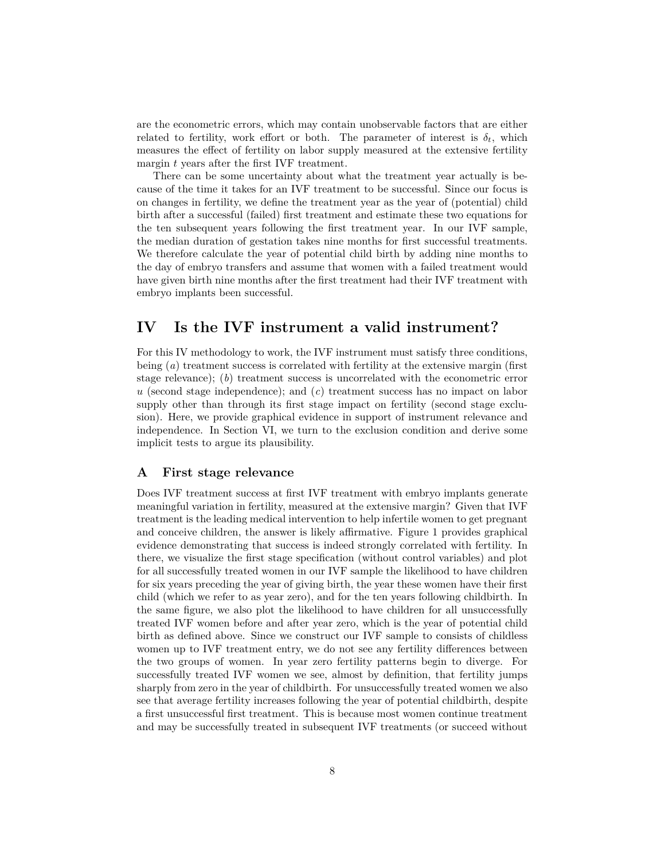are the econometric errors, which may contain unobservable factors that are either related to fertility, work effort or both. The parameter of interest is  $\delta_t$ , which measures the effect of fertility on labor supply measured at the extensive fertility margin *t* years after the first IVF treatment.

There can be some uncertainty about what the treatment year actually is because of the time it takes for an IVF treatment to be successful. Since our focus is on changes in fertility, we define the treatment year as the year of (potential) child birth after a successful (failed) first treatment and estimate these two equations for the ten subsequent years following the first treatment year. In our IVF sample, the median duration of gestation takes nine months for first successful treatments. We therefore calculate the year of potential child birth by adding nine months to the day of embryo transfers and assume that women with a failed treatment would have given birth nine months after the first treatment had their IVF treatment with embryo implants been successful.

## **IV Is the IVF instrument a valid instrument?**

For this IV methodology to work, the IVF instrument must satisfy three conditions, being (*a*) treatment success is correlated with fertility at the extensive margin (first stage relevance); (*b*) treatment success is uncorrelated with the econometric error *u* (second stage independence); and (*c*) treatment success has no impact on labor supply other than through its first stage impact on fertility (second stage exclusion). Here, we provide graphical evidence in support of instrument relevance and independence. In Section VI, we turn to the exclusion condition and derive some implicit tests to argue its plausibility.

#### **A First stage relevance**

Does IVF treatment success at first IVF treatment with embryo implants generate meaningful variation in fertility, measured at the extensive margin? Given that IVF treatment is the leading medical intervention to help infertile women to get pregnant and conceive children, the answer is likely affirmative. Figure 1 provides graphical evidence demonstrating that success is indeed strongly correlated with fertility. In there, we visualize the first stage specification (without control variables) and plot for all successfully treated women in our IVF sample the likelihood to have children for six years preceding the year of giving birth, the year these women have their first child (which we refer to as year zero), and for the ten years following childbirth. In the same figure, we also plot the likelihood to have children for all unsuccessfully treated IVF women before and after year zero, which is the year of potential child birth as defined above. Since we construct our IVF sample to consists of childless women up to IVF treatment entry, we do not see any fertility differences between the two groups of women. In year zero fertility patterns begin to diverge. For successfully treated IVF women we see, almost by definition, that fertility jumps sharply from zero in the year of childbirth. For unsuccessfully treated women we also see that average fertility increases following the year of potential childbirth, despite a first unsuccessful first treatment. This is because most women continue treatment and may be successfully treated in subsequent IVF treatments (or succeed without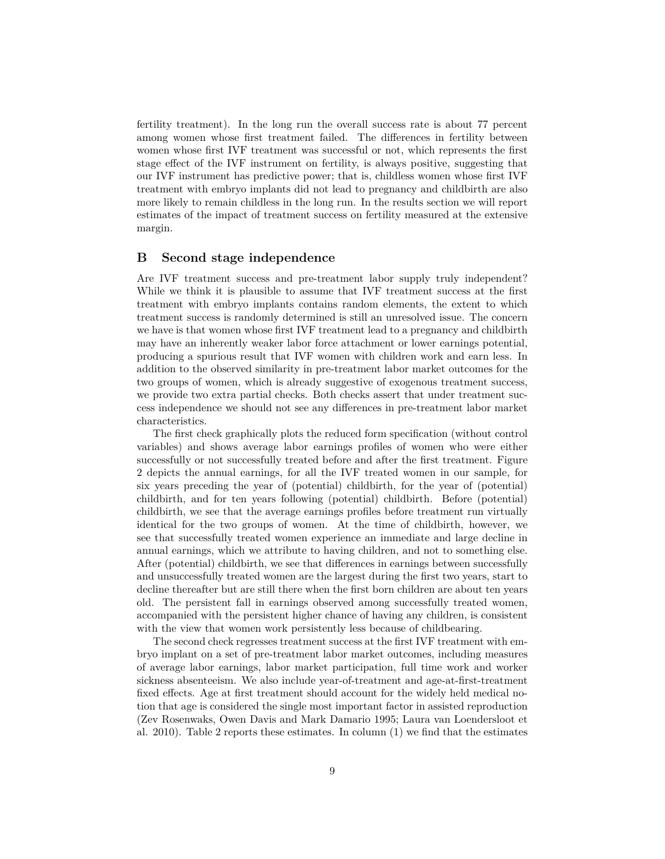fertility treatment). In the long run the overall success rate is about 77 percent among women whose first treatment failed. The differences in fertility between women whose first IVF treatment was successful or not, which represents the first stage effect of the IVF instrument on fertility, is always positive, suggesting that our IVF instrument has predictive power; that is, childless women whose first IVF treatment with embryo implants did not lead to pregnancy and childbirth are also more likely to remain childless in the long run. In the results section we will report estimates of the impact of treatment success on fertility measured at the extensive margin.

#### **B Second stage independence**

Are IVF treatment success and pre-treatment labor supply truly independent? While we think it is plausible to assume that IVF treatment success at the first treatment with embryo implants contains random elements, the extent to which treatment success is randomly determined is still an unresolved issue. The concern we have is that women whose first IVF treatment lead to a pregnancy and childbirth may have an inherently weaker labor force attachment or lower earnings potential, producing a spurious result that IVF women with children work and earn less. In addition to the observed similarity in pre-treatment labor market outcomes for the two groups of women, which is already suggestive of exogenous treatment success, we provide two extra partial checks. Both checks assert that under treatment success independence we should not see any differences in pre-treatment labor market characteristics.

The first check graphically plots the reduced form specification (without control variables) and shows average labor earnings profiles of women who were either successfully or not successfully treated before and after the first treatment. Figure 2 depicts the annual earnings, for all the IVF treated women in our sample, for six years preceding the year of (potential) childbirth, for the year of (potential) childbirth, and for ten years following (potential) childbirth. Before (potential) childbirth, we see that the average earnings profiles before treatment run virtually identical for the two groups of women. At the time of childbirth, however, we see that successfully treated women experience an immediate and large decline in annual earnings, which we attribute to having children, and not to something else. After (potential) childbirth, we see that differences in earnings between successfully and unsuccessfully treated women are the largest during the first two years, start to decline thereafter but are still there when the first born children are about ten years old. The persistent fall in earnings observed among successfully treated women, accompanied with the persistent higher chance of having any children, is consistent with the view that women work persistently less because of childbearing.

The second check regresses treatment success at the first IVF treatment with embryo implant on a set of pre-treatment labor market outcomes, including measures of average labor earnings, labor market participation, full time work and worker sickness absenteeism. We also include year-of-treatment and age-at-first-treatment fixed effects. Age at first treatment should account for the widely held medical notion that age is considered the single most important factor in assisted reproduction (Zev Rosenwaks, Owen Davis and Mark Damario 1995; Laura van Loendersloot et al. 2010). Table 2 reports these estimates. In column (1) we find that the estimates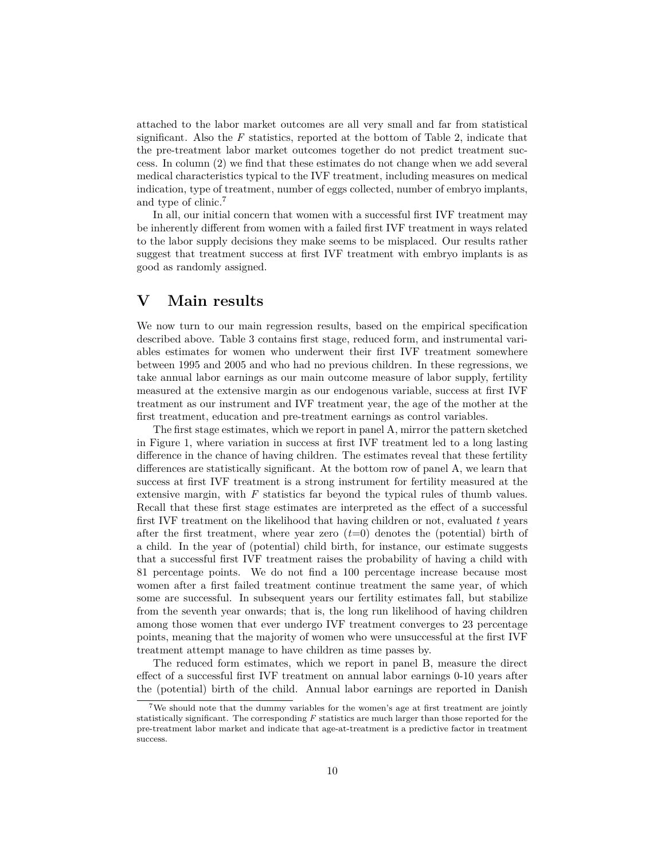attached to the labor market outcomes are all very small and far from statistical significant. Also the *F* statistics, reported at the bottom of Table 2, indicate that the pre-treatment labor market outcomes together do not predict treatment success. In column (2) we find that these estimates do not change when we add several medical characteristics typical to the IVF treatment, including measures on medical indication, type of treatment, number of eggs collected, number of embryo implants, and type of clinic.<sup>7</sup>

In all, our initial concern that women with a successful first IVF treatment may be inherently different from women with a failed first IVF treatment in ways related to the labor supply decisions they make seems to be misplaced. Our results rather suggest that treatment success at first IVF treatment with embryo implants is as good as randomly assigned.

## **V Main results**

We now turn to our main regression results, based on the empirical specification described above. Table 3 contains first stage, reduced form, and instrumental variables estimates for women who underwent their first IVF treatment somewhere between 1995 and 2005 and who had no previous children. In these regressions, we take annual labor earnings as our main outcome measure of labor supply, fertility measured at the extensive margin as our endogenous variable, success at first IVF treatment as our instrument and IVF treatment year, the age of the mother at the first treatment, education and pre-treatment earnings as control variables.

The first stage estimates, which we report in panel A, mirror the pattern sketched in Figure 1, where variation in success at first IVF treatment led to a long lasting difference in the chance of having children. The estimates reveal that these fertility differences are statistically significant. At the bottom row of panel A, we learn that success at first IVF treatment is a strong instrument for fertility measured at the extensive margin, with *F* statistics far beyond the typical rules of thumb values. Recall that these first stage estimates are interpreted as the effect of a successful first IVF treatment on the likelihood that having children or not, evaluated *t* years after the first treatment, where year zero  $(t=0)$  denotes the (potential) birth of a child. In the year of (potential) child birth, for instance, our estimate suggests that a successful first IVF treatment raises the probability of having a child with 81 percentage points. We do not find a 100 percentage increase because most women after a first failed treatment continue treatment the same year, of which some are successful. In subsequent years our fertility estimates fall, but stabilize from the seventh year onwards; that is, the long run likelihood of having children among those women that ever undergo IVF treatment converges to 23 percentage points, meaning that the majority of women who were unsuccessful at the first IVF treatment attempt manage to have children as time passes by.

The reduced form estimates, which we report in panel B, measure the direct effect of a successful first IVF treatment on annual labor earnings 0-10 years after the (potential) birth of the child. Annual labor earnings are reported in Danish

<sup>7</sup>We should note that the dummy variables for the women's age at first treatment are jointly statistically significant. The corresponding *F* statistics are much larger than those reported for the pre-treatment labor market and indicate that age-at-treatment is a predictive factor in treatment success.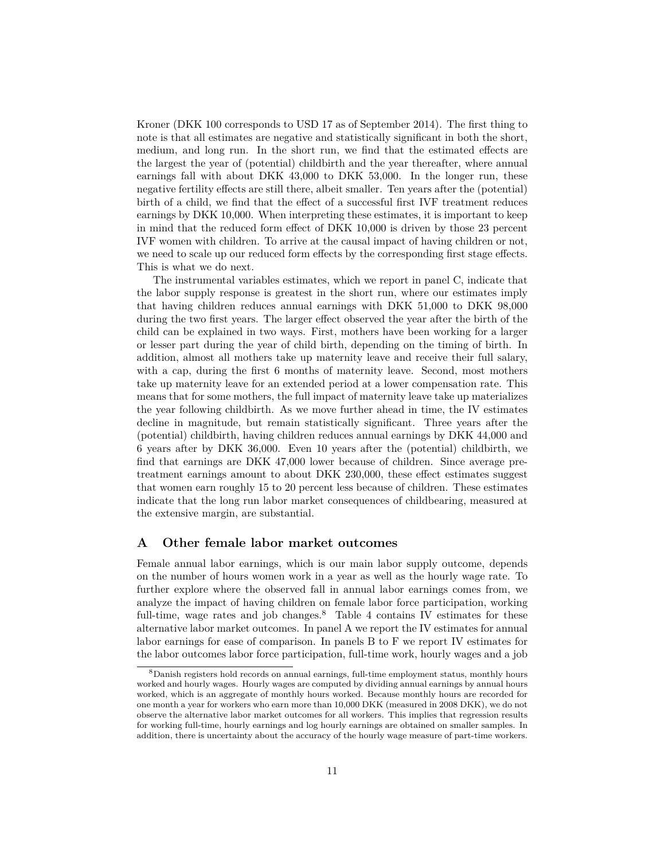Kroner (DKK 100 corresponds to USD 17 as of September 2014). The first thing to note is that all estimates are negative and statistically significant in both the short, medium, and long run. In the short run, we find that the estimated effects are the largest the year of (potential) childbirth and the year thereafter, where annual earnings fall with about DKK 43,000 to DKK 53,000. In the longer run, these negative fertility effects are still there, albeit smaller. Ten years after the (potential) birth of a child, we find that the effect of a successful first IVF treatment reduces earnings by DKK 10,000. When interpreting these estimates, it is important to keep in mind that the reduced form effect of DKK 10,000 is driven by those 23 percent IVF women with children. To arrive at the causal impact of having children or not, we need to scale up our reduced form effects by the corresponding first stage effects. This is what we do next.

The instrumental variables estimates, which we report in panel C, indicate that the labor supply response is greatest in the short run, where our estimates imply that having children reduces annual earnings with DKK 51,000 to DKK 98,000 during the two first years. The larger effect observed the year after the birth of the child can be explained in two ways. First, mothers have been working for a larger or lesser part during the year of child birth, depending on the timing of birth. In addition, almost all mothers take up maternity leave and receive their full salary, with a cap, during the first 6 months of maternity leave. Second, most mothers take up maternity leave for an extended period at a lower compensation rate. This means that for some mothers, the full impact of maternity leave take up materializes the year following childbirth. As we move further ahead in time, the IV estimates decline in magnitude, but remain statistically significant. Three years after the (potential) childbirth, having children reduces annual earnings by DKK 44,000 and 6 years after by DKK 36,000. Even 10 years after the (potential) childbirth, we find that earnings are DKK 47,000 lower because of children. Since average pretreatment earnings amount to about DKK 230,000, these effect estimates suggest that women earn roughly 15 to 20 percent less because of children. These estimates indicate that the long run labor market consequences of childbearing, measured at the extensive margin, are substantial.

#### **A Other female labor market outcomes**

Female annual labor earnings, which is our main labor supply outcome, depends on the number of hours women work in a year as well as the hourly wage rate. To further explore where the observed fall in annual labor earnings comes from, we analyze the impact of having children on female labor force participation, working full-time, wage rates and job changes.<sup>8</sup> Table 4 contains IV estimates for these alternative labor market outcomes. In panel A we report the IV estimates for annual labor earnings for ease of comparison. In panels B to F we report IV estimates for the labor outcomes labor force participation, full-time work, hourly wages and a job

<sup>8</sup>Danish registers hold records on annual earnings, full-time employment status, monthly hours worked and hourly wages. Hourly wages are computed by dividing annual earnings by annual hours worked, which is an aggregate of monthly hours worked. Because monthly hours are recorded for one month a year for workers who earn more than 10,000 DKK (measured in 2008 DKK), we do not observe the alternative labor market outcomes for all workers. This implies that regression results for working full-time, hourly earnings and log hourly earnings are obtained on smaller samples. In addition, there is uncertainty about the accuracy of the hourly wage measure of part-time workers.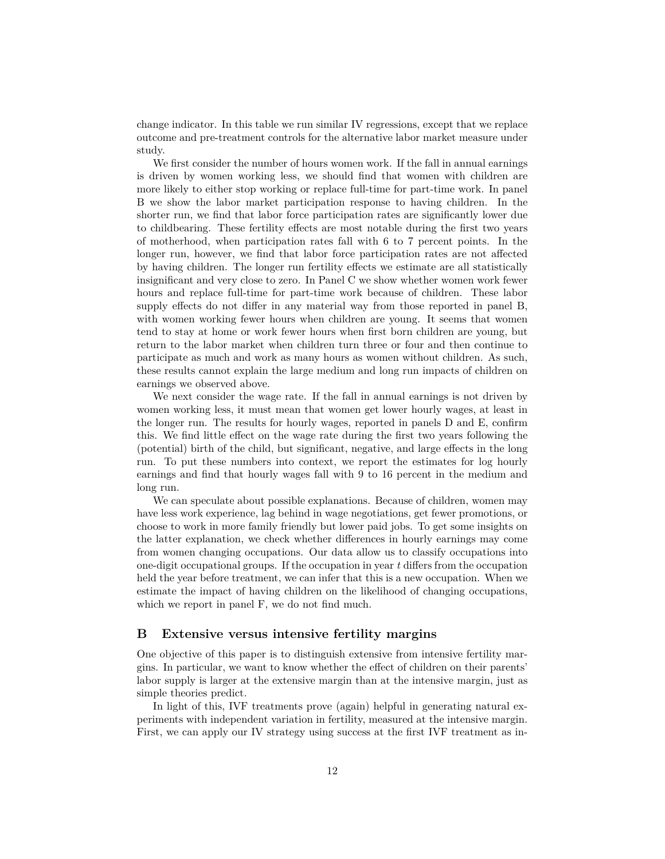change indicator. In this table we run similar IV regressions, except that we replace outcome and pre-treatment controls for the alternative labor market measure under study.

We first consider the number of hours women work. If the fall in annual earnings is driven by women working less, we should find that women with children are more likely to either stop working or replace full-time for part-time work. In panel B we show the labor market participation response to having children. In the shorter run, we find that labor force participation rates are significantly lower due to childbearing. These fertility effects are most notable during the first two years of motherhood, when participation rates fall with 6 to 7 percent points. In the longer run, however, we find that labor force participation rates are not affected by having children. The longer run fertility effects we estimate are all statistically insignificant and very close to zero. In Panel C we show whether women work fewer hours and replace full-time for part-time work because of children. These labor supply effects do not differ in any material way from those reported in panel B, with women working fewer hours when children are young. It seems that women tend to stay at home or work fewer hours when first born children are young, but return to the labor market when children turn three or four and then continue to participate as much and work as many hours as women without children. As such, these results cannot explain the large medium and long run impacts of children on earnings we observed above.

We next consider the wage rate. If the fall in annual earnings is not driven by women working less, it must mean that women get lower hourly wages, at least in the longer run. The results for hourly wages, reported in panels D and E, confirm this. We find little effect on the wage rate during the first two years following the (potential) birth of the child, but significant, negative, and large effects in the long run. To put these numbers into context, we report the estimates for log hourly earnings and find that hourly wages fall with 9 to 16 percent in the medium and long run.

We can speculate about possible explanations. Because of children, women may have less work experience, lag behind in wage negotiations, get fewer promotions, or choose to work in more family friendly but lower paid jobs. To get some insights on the latter explanation, we check whether differences in hourly earnings may come from women changing occupations. Our data allow us to classify occupations into one-digit occupational groups. If the occupation in year *t* differs from the occupation held the year before treatment, we can infer that this is a new occupation. When we estimate the impact of having children on the likelihood of changing occupations, which we report in panel F, we do not find much.

#### **B Extensive versus intensive fertility margins**

One objective of this paper is to distinguish extensive from intensive fertility margins. In particular, we want to know whether the effect of children on their parents' labor supply is larger at the extensive margin than at the intensive margin, just as simple theories predict.

In light of this, IVF treatments prove (again) helpful in generating natural experiments with independent variation in fertility, measured at the intensive margin. First, we can apply our IV strategy using success at the first IVF treatment as in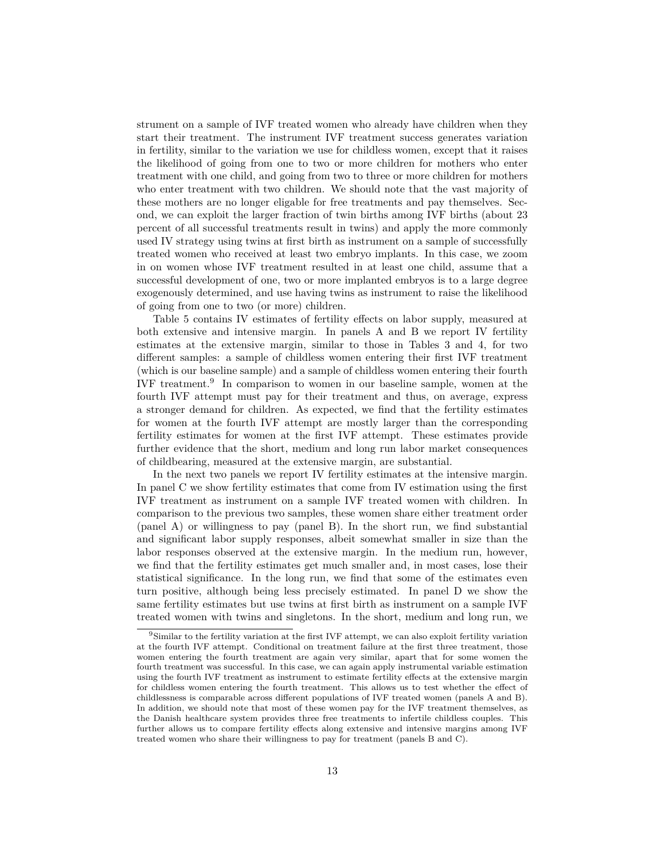strument on a sample of IVF treated women who already have children when they start their treatment. The instrument IVF treatment success generates variation in fertility, similar to the variation we use for childless women, except that it raises the likelihood of going from one to two or more children for mothers who enter treatment with one child, and going from two to three or more children for mothers who enter treatment with two children. We should note that the vast majority of these mothers are no longer eligable for free treatments and pay themselves. Second, we can exploit the larger fraction of twin births among IVF births (about 23 percent of all successful treatments result in twins) and apply the more commonly used IV strategy using twins at first birth as instrument on a sample of successfully treated women who received at least two embryo implants. In this case, we zoom in on women whose IVF treatment resulted in at least one child, assume that a successful development of one, two or more implanted embryos is to a large degree exogenously determined, and use having twins as instrument to raise the likelihood of going from one to two (or more) children.

Table 5 contains IV estimates of fertility effects on labor supply, measured at both extensive and intensive margin. In panels A and B we report IV fertility estimates at the extensive margin, similar to those in Tables 3 and 4, for two different samples: a sample of childless women entering their first IVF treatment (which is our baseline sample) and a sample of childless women entering their fourth IVF treatment.<sup>9</sup> In comparison to women in our baseline sample, women at the fourth IVF attempt must pay for their treatment and thus, on average, express a stronger demand for children. As expected, we find that the fertility estimates for women at the fourth IVF attempt are mostly larger than the corresponding fertility estimates for women at the first IVF attempt. These estimates provide further evidence that the short, medium and long run labor market consequences of childbearing, measured at the extensive margin, are substantial.

In the next two panels we report IV fertility estimates at the intensive margin. In panel C we show fertility estimates that come from IV estimation using the first IVF treatment as instrument on a sample IVF treated women with children. In comparison to the previous two samples, these women share either treatment order (panel A) or willingness to pay (panel B). In the short run, we find substantial and significant labor supply responses, albeit somewhat smaller in size than the labor responses observed at the extensive margin. In the medium run, however, we find that the fertility estimates get much smaller and, in most cases, lose their statistical significance. In the long run, we find that some of the estimates even turn positive, although being less precisely estimated. In panel D we show the same fertility estimates but use twins at first birth as instrument on a sample IVF treated women with twins and singletons. In the short, medium and long run, we

<sup>&</sup>lt;sup>9</sup>Similar to the fertility variation at the first IVF attempt, we can also exploit fertility variation at the fourth IVF attempt. Conditional on treatment failure at the first three treatment, those women entering the fourth treatment are again very similar, apart that for some women the fourth treatment was successful. In this case, we can again apply instrumental variable estimation using the fourth IVF treatment as instrument to estimate fertility effects at the extensive margin for childless women entering the fourth treatment. This allows us to test whether the effect of childlessness is comparable across different populations of IVF treated women (panels A and B). In addition, we should note that most of these women pay for the IVF treatment themselves, as the Danish healthcare system provides three free treatments to infertile childless couples. This further allows us to compare fertility effects along extensive and intensive margins among IVF treated women who share their willingness to pay for treatment (panels B and C).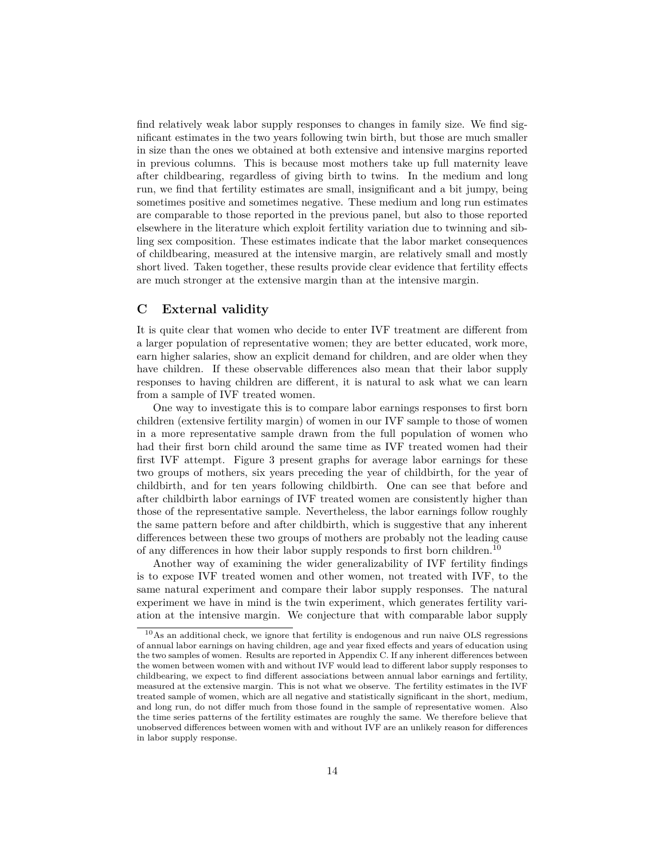find relatively weak labor supply responses to changes in family size. We find significant estimates in the two years following twin birth, but those are much smaller in size than the ones we obtained at both extensive and intensive margins reported in previous columns. This is because most mothers take up full maternity leave after childbearing, regardless of giving birth to twins. In the medium and long run, we find that fertility estimates are small, insignificant and a bit jumpy, being sometimes positive and sometimes negative. These medium and long run estimates are comparable to those reported in the previous panel, but also to those reported elsewhere in the literature which exploit fertility variation due to twinning and sibling sex composition. These estimates indicate that the labor market consequences of childbearing, measured at the intensive margin, are relatively small and mostly short lived. Taken together, these results provide clear evidence that fertility effects are much stronger at the extensive margin than at the intensive margin.

### **C External validity**

It is quite clear that women who decide to enter IVF treatment are different from a larger population of representative women; they are better educated, work more, earn higher salaries, show an explicit demand for children, and are older when they have children. If these observable differences also mean that their labor supply responses to having children are different, it is natural to ask what we can learn from a sample of IVF treated women.

One way to investigate this is to compare labor earnings responses to first born children (extensive fertility margin) of women in our IVF sample to those of women in a more representative sample drawn from the full population of women who had their first born child around the same time as IVF treated women had their first IVF attempt. Figure 3 present graphs for average labor earnings for these two groups of mothers, six years preceding the year of childbirth, for the year of childbirth, and for ten years following childbirth. One can see that before and after childbirth labor earnings of IVF treated women are consistently higher than those of the representative sample. Nevertheless, the labor earnings follow roughly the same pattern before and after childbirth, which is suggestive that any inherent differences between these two groups of mothers are probably not the leading cause of any differences in how their labor supply responds to first born children.<sup>10</sup>

Another way of examining the wider generalizability of IVF fertility findings is to expose IVF treated women and other women, not treated with IVF, to the same natural experiment and compare their labor supply responses. The natural experiment we have in mind is the twin experiment, which generates fertility variation at the intensive margin. We conjecture that with comparable labor supply

 $10\text{As}$  an additional check, we ignore that fertility is endogenous and run naive OLS regressions of annual labor earnings on having children, age and year fixed effects and years of education using the two samples of women. Results are reported in Appendix C. If any inherent differences between the women between women with and without IVF would lead to different labor supply responses to childbearing, we expect to find different associations between annual labor earnings and fertility, measured at the extensive margin. This is not what we observe. The fertility estimates in the IVF treated sample of women, which are all negative and statistically significant in the short, medium, and long run, do not differ much from those found in the sample of representative women. Also the time series patterns of the fertility estimates are roughly the same. We therefore believe that unobserved differences between women with and without IVF are an unlikely reason for differences in labor supply response.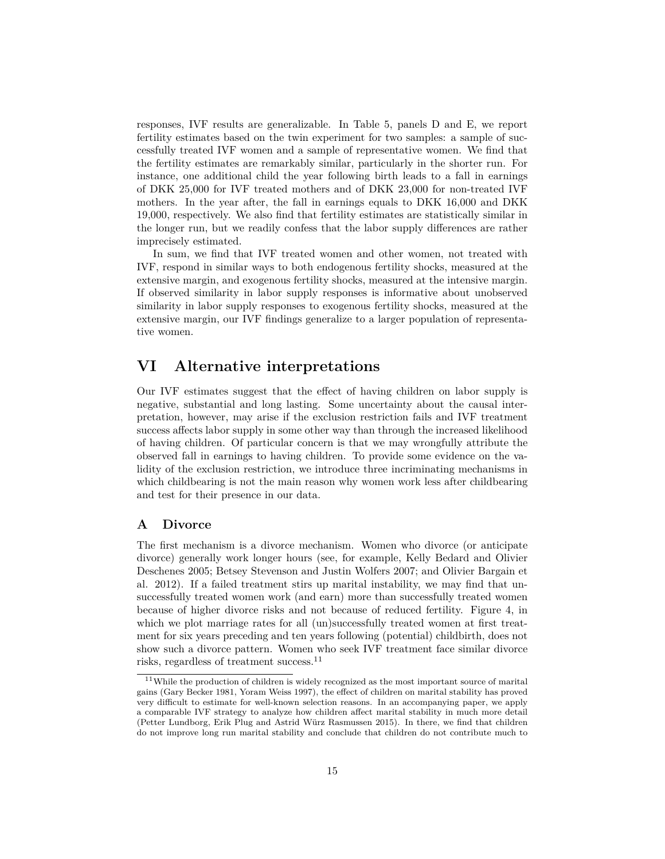responses, IVF results are generalizable. In Table 5, panels D and E, we report fertility estimates based on the twin experiment for two samples: a sample of successfully treated IVF women and a sample of representative women. We find that the fertility estimates are remarkably similar, particularly in the shorter run. For instance, one additional child the year following birth leads to a fall in earnings of DKK 25,000 for IVF treated mothers and of DKK 23,000 for non-treated IVF mothers. In the year after, the fall in earnings equals to DKK 16,000 and DKK 19,000, respectively. We also find that fertility estimates are statistically similar in the longer run, but we readily confess that the labor supply differences are rather imprecisely estimated.

In sum, we find that IVF treated women and other women, not treated with IVF, respond in similar ways to both endogenous fertility shocks, measured at the extensive margin, and exogenous fertility shocks, measured at the intensive margin. If observed similarity in labor supply responses is informative about unobserved similarity in labor supply responses to exogenous fertility shocks, measured at the extensive margin, our IVF findings generalize to a larger population of representative women.

## **VI Alternative interpretations**

Our IVF estimates suggest that the effect of having children on labor supply is negative, substantial and long lasting. Some uncertainty about the causal interpretation, however, may arise if the exclusion restriction fails and IVF treatment success affects labor supply in some other way than through the increased likelihood of having children. Of particular concern is that we may wrongfully attribute the observed fall in earnings to having children. To provide some evidence on the validity of the exclusion restriction, we introduce three incriminating mechanisms in which childbearing is not the main reason why women work less after childbearing and test for their presence in our data.

### **A Divorce**

The first mechanism is a divorce mechanism. Women who divorce (or anticipate divorce) generally work longer hours (see, for example, Kelly Bedard and Olivier Deschenes 2005; Betsey Stevenson and Justin Wolfers 2007; and Olivier Bargain et al. 2012). If a failed treatment stirs up marital instability, we may find that unsuccessfully treated women work (and earn) more than successfully treated women because of higher divorce risks and not because of reduced fertility. Figure 4, in which we plot marriage rates for all (un)successfully treated women at first treatment for six years preceding and ten years following (potential) childbirth, does not show such a divorce pattern. Women who seek IVF treatment face similar divorce risks, regardless of treatment success.<sup>11</sup>

<sup>&</sup>lt;sup>11</sup>While the production of children is widely recognized as the most important source of marital gains (Gary Becker 1981, Yoram Weiss 1997), the effect of children on marital stability has proved very difficult to estimate for well-known selection reasons. In an accompanying paper, we apply a comparable IVF strategy to analyze how children affect marital stability in much more detail (Petter Lundborg, Erik Plug and Astrid Würz Rasmussen 2015). In there, we find that children do not improve long run marital stability and conclude that children do not contribute much to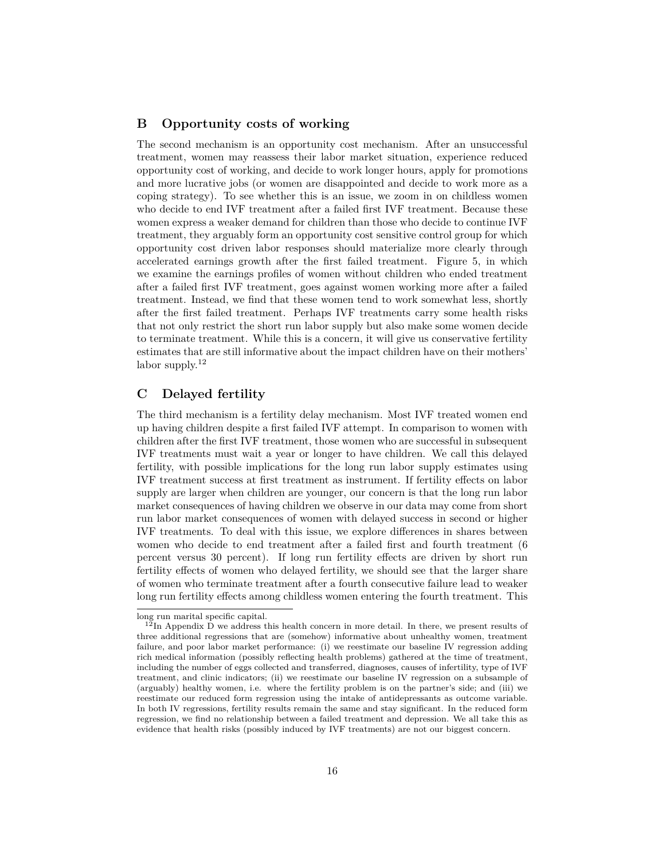### **B Opportunity costs of working**

The second mechanism is an opportunity cost mechanism. After an unsuccessful treatment, women may reassess their labor market situation, experience reduced opportunity cost of working, and decide to work longer hours, apply for promotions and more lucrative jobs (or women are disappointed and decide to work more as a coping strategy). To see whether this is an issue, we zoom in on childless women who decide to end IVF treatment after a failed first IVF treatment. Because these women express a weaker demand for children than those who decide to continue IVF treatment, they arguably form an opportunity cost sensitive control group for which opportunity cost driven labor responses should materialize more clearly through accelerated earnings growth after the first failed treatment. Figure 5, in which we examine the earnings profiles of women without children who ended treatment after a failed first IVF treatment, goes against women working more after a failed treatment. Instead, we find that these women tend to work somewhat less, shortly after the first failed treatment. Perhaps IVF treatments carry some health risks that not only restrict the short run labor supply but also make some women decide to terminate treatment. While this is a concern, it will give us conservative fertility estimates that are still informative about the impact children have on their mothers' labor supply.<sup>12</sup>

### **C Delayed fertility**

The third mechanism is a fertility delay mechanism. Most IVF treated women end up having children despite a first failed IVF attempt. In comparison to women with children after the first IVF treatment, those women who are successful in subsequent IVF treatments must wait a year or longer to have children. We call this delayed fertility, with possible implications for the long run labor supply estimates using IVF treatment success at first treatment as instrument. If fertility effects on labor supply are larger when children are younger, our concern is that the long run labor market consequences of having children we observe in our data may come from short run labor market consequences of women with delayed success in second or higher IVF treatments. To deal with this issue, we explore differences in shares between women who decide to end treatment after a failed first and fourth treatment (6 percent versus 30 percent). If long run fertility effects are driven by short run fertility effects of women who delayed fertility, we should see that the larger share of women who terminate treatment after a fourth consecutive failure lead to weaker long run fertility effects among childless women entering the fourth treatment. This

long run marital specific capital.

 $12$ In Appendix D we address this health concern in more detail. In there, we present results of three additional regressions that are (somehow) informative about unhealthy women, treatment failure, and poor labor market performance: (i) we reestimate our baseline IV regression adding rich medical information (possibly reflecting health problems) gathered at the time of treatment, including the number of eggs collected and transferred, diagnoses, causes of infertility, type of IVF treatment, and clinic indicators; (ii) we reestimate our baseline IV regression on a subsample of (arguably) healthy women, i.e. where the fertility problem is on the partner's side; and (iii) we reestimate our reduced form regression using the intake of antidepressants as outcome variable. In both IV regressions, fertility results remain the same and stay significant. In the reduced form regression, we find no relationship between a failed treatment and depression. We all take this as evidence that health risks (possibly induced by IVF treatments) are not our biggest concern.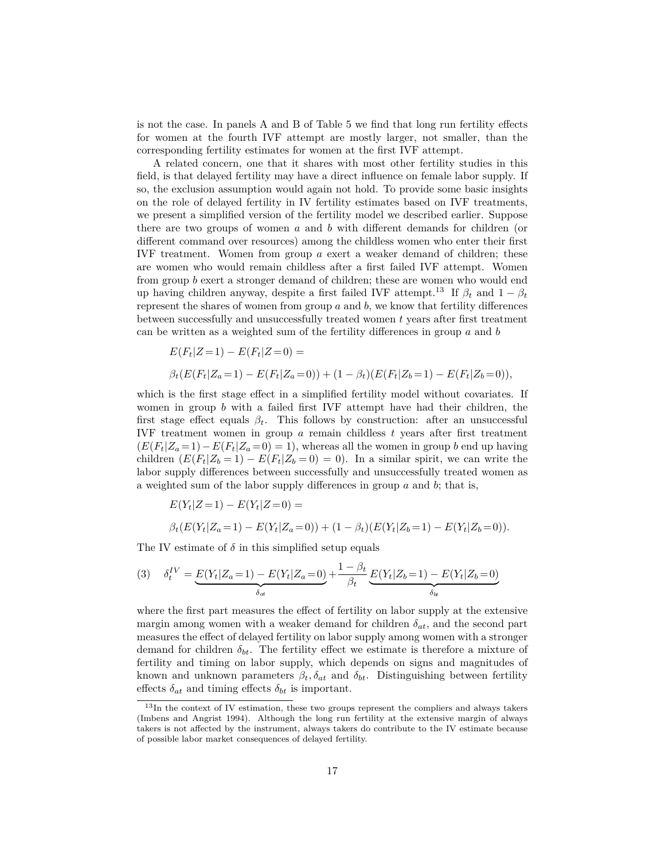is not the case. In panels A and B of Table 5 we find that long run fertility effects for women at the fourth IVF attempt are mostly larger, not smaller, than the corresponding fertility estimates for women at the first IVF attempt.

A related concern, one that it shares with most other fertility studies in this field, is that delayed fertility may have a direct influence on female labor supply. If so, the exclusion assumption would again not hold. To provide some basic insights on the role of delayed fertility in IV fertility estimates based on IVF treatments, we present a simplified version of the fertility model we described earlier. Suppose there are two groups of women *a* and *b* with different demands for children (or different command over resources) among the childless women who enter their first IVF treatment. Women from group *a* exert a weaker demand of children; these are women who would remain childless after a first failed IVF attempt. Women from group *b* exert a stronger demand of children; these are women who would end up having children anyway, despite a first failed IVF attempt.<sup>13</sup> If  $\beta_t$  and  $1 - \beta_t$ represent the shares of women from group *a* and *b*, we know that fertility differences between successfully and unsuccessfully treated women *t* years after first treatment can be written as a weighted sum of the fertility differences in group *a* and *b*

$$
E(F_t|Z=1) - E(F_t|Z=0) =
$$
  

$$
\beta_t(E(F_t|Z_a=1) - E(F_t|Z_a=0)) + (1 - \beta_t)(E(F_t|Z_b=1) - E(F_t|Z_b=0)),
$$

which is the first stage effect in a simplified fertility model without covariates. If women in group *b* with a failed first IVF attempt have had their children, the first stage effect equals  $\beta_t$ . This follows by construction: after an unsuccessful IVF treatment women in group *a* remain childless *t* years after first treatment  $(E(F_t|Z_a=1)-E(F_t|Z_a=0)=1)$ , whereas all the women in group *b* end up having children  $(E(F_t|Z_b=1) - E(F_t|Z_b=0) = 0)$ . In a similar spirit, we can write the labor supply differences between successfully and unsuccessfully treated women as a weighted sum of the labor supply differences in group *a* and *b*; that is,

$$
E(Y_t|Z=1) - E(Y_t|Z=0) =
$$
  

$$
\beta_t(E(Y_t|Z_a=1) - E(Y_t|Z_a=0)) + (1 - \beta_t)(E(Y_t|Z_b=1) - E(Y_t|Z_b=0)).
$$

The IV estimate of  $\delta$  in this simplified setup equals

(3) 
$$
\delta_t^{IV} = \underbrace{E(Y_t|Z_a=1) - E(Y_t|Z_a=0)}_{\delta_{at}} + \frac{1-\beta_t}{\beta_t} \underbrace{E(Y_t|Z_b=1) - E(Y_t|Z_b=0)}_{\delta_{ta}}
$$

where the first part measures the effect of fertility on labor supply at the extensive margin among women with a weaker demand for children *δat*, and the second part measures the effect of delayed fertility on labor supply among women with a stronger demand for children  $\delta_{bt}$ . The fertility effect we estimate is therefore a mixture of fertility and timing on labor supply, which depends on signs and magnitudes of known and unknown parameters  $\beta_t$ ,  $\delta_{at}$  and  $\delta_{bt}$ . Distinguishing between fertility effects  $\delta_{at}$  and timing effects  $\delta_{bt}$  is important.

<sup>&</sup>lt;sup>13</sup>In the context of IV estimation, these two groups represent the compliers and always takers (Imbens and Angrist 1994). Although the long run fertility at the extensive margin of always takers is not affected by the instrument, always takers do contribute to the IV estimate because of possible labor market consequences of delayed fertility.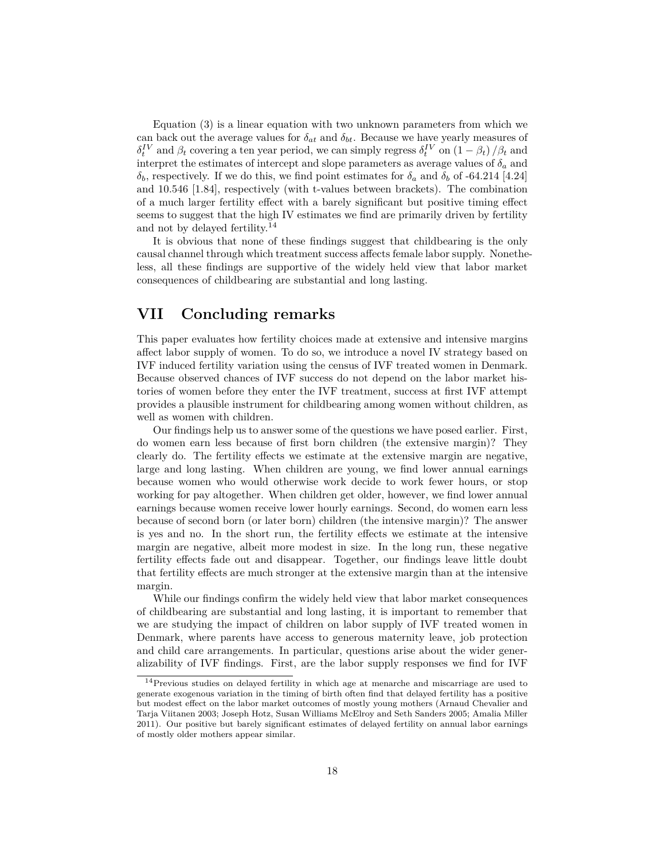Equation (3) is a linear equation with two unknown parameters from which we can back out the average values for  $\delta_{at}$  and  $\delta_{bt}$ . Because we have yearly measures of  $\delta_t^{\{IV\}}$  and  $\beta_t$  covering a ten year period, we can simply regress  $\delta_t^{\{IV\}}$  on  $(1 - \beta_t) / \beta_t$  and interpret the estimates of intercept and slope parameters as average values of  $\delta_a$  and *δb*, respectively. If we do this, we find point estimates for *δ<sup>a</sup>* and *δ<sup>b</sup>* of -64.214 [4.24] and 10.546 [1.84], respectively (with t-values between brackets). The combination of a much larger fertility effect with a barely significant but positive timing effect seems to suggest that the high IV estimates we find are primarily driven by fertility and not by delayed fertility.<sup>14</sup>

It is obvious that none of these findings suggest that childbearing is the only causal channel through which treatment success affects female labor supply. Nonetheless, all these findings are supportive of the widely held view that labor market consequences of childbearing are substantial and long lasting.

## **VII Concluding remarks**

This paper evaluates how fertility choices made at extensive and intensive margins affect labor supply of women. To do so, we introduce a novel IV strategy based on IVF induced fertility variation using the census of IVF treated women in Denmark. Because observed chances of IVF success do not depend on the labor market histories of women before they enter the IVF treatment, success at first IVF attempt provides a plausible instrument for childbearing among women without children, as well as women with children.

Our findings help us to answer some of the questions we have posed earlier. First, do women earn less because of first born children (the extensive margin)? They clearly do. The fertility effects we estimate at the extensive margin are negative, large and long lasting. When children are young, we find lower annual earnings because women who would otherwise work decide to work fewer hours, or stop working for pay altogether. When children get older, however, we find lower annual earnings because women receive lower hourly earnings. Second, do women earn less because of second born (or later born) children (the intensive margin)? The answer is yes and no. In the short run, the fertility effects we estimate at the intensive margin are negative, albeit more modest in size. In the long run, these negative fertility effects fade out and disappear. Together, our findings leave little doubt that fertility effects are much stronger at the extensive margin than at the intensive margin.

While our findings confirm the widely held view that labor market consequences of childbearing are substantial and long lasting, it is important to remember that we are studying the impact of children on labor supply of IVF treated women in Denmark, where parents have access to generous maternity leave, job protection and child care arrangements. In particular, questions arise about the wider generalizability of IVF findings. First, are the labor supply responses we find for IVF

 $14$ Previous studies on delayed fertility in which age at menarche and miscarriage are used to generate exogenous variation in the timing of birth often find that delayed fertility has a positive but modest effect on the labor market outcomes of mostly young mothers (Arnaud Chevalier and Tarja Viitanen 2003; Joseph Hotz, Susan Williams McElroy and Seth Sanders 2005; Amalia Miller 2011). Our positive but barely significant estimates of delayed fertility on annual labor earnings of mostly older mothers appear similar.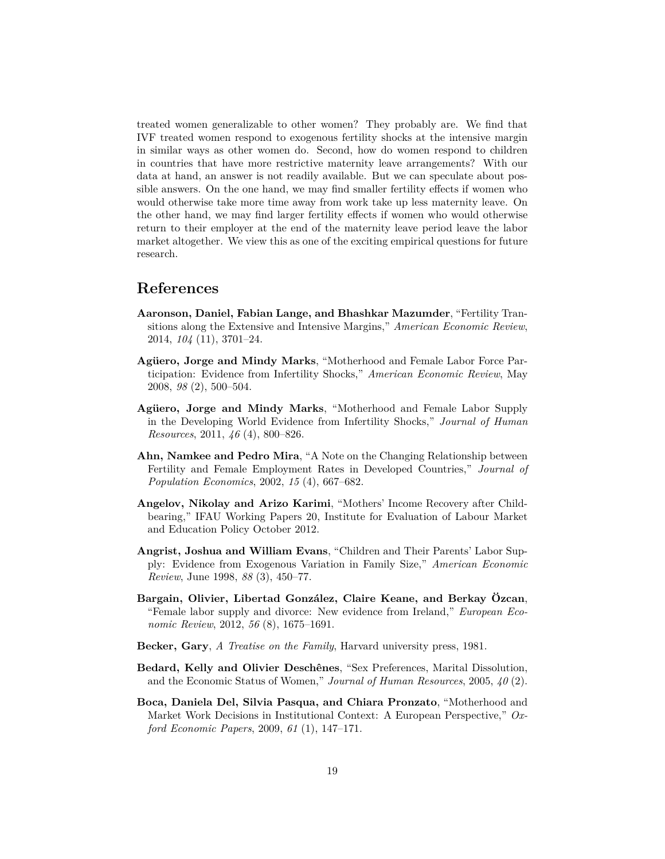treated women generalizable to other women? They probably are. We find that IVF treated women respond to exogenous fertility shocks at the intensive margin in similar ways as other women do. Second, how do women respond to children in countries that have more restrictive maternity leave arrangements? With our data at hand, an answer is not readily available. But we can speculate about possible answers. On the one hand, we may find smaller fertility effects if women who would otherwise take more time away from work take up less maternity leave. On the other hand, we may find larger fertility effects if women who would otherwise return to their employer at the end of the maternity leave period leave the labor market altogether. We view this as one of the exciting empirical questions for future research.

## **References**

- **Aaronson, Daniel, Fabian Lange, and Bhashkar Mazumder**, "Fertility Transitions along the Extensive and Intensive Margins," *American Economic Review*, 2014, *104* (11), 3701–24.
- **Agüero, Jorge and Mindy Marks**, "Motherhood and Female Labor Force Participation: Evidence from Infertility Shocks," *American Economic Review*, May 2008, *98* (2), 500–504.
- **Agüero, Jorge and Mindy Marks**, "Motherhood and Female Labor Supply in the Developing World Evidence from Infertility Shocks," *Journal of Human Resources*, 2011, *46* (4), 800–826.
- **Ahn, Namkee and Pedro Mira**, "A Note on the Changing Relationship between Fertility and Female Employment Rates in Developed Countries," *Journal of Population Economics*, 2002, *15* (4), 667–682.
- **Angelov, Nikolay and Arizo Karimi**, "Mothers' Income Recovery after Childbearing," IFAU Working Papers 20, Institute for Evaluation of Labour Market and Education Policy October 2012.
- **Angrist, Joshua and William Evans**, "Children and Their Parents' Labor Supply: Evidence from Exogenous Variation in Family Size," *American Economic Review*, June 1998, *88* (3), 450–77.
- **Bargain, Olivier, Libertad González, Claire Keane, and Berkay Özcan**, "Female labor supply and divorce: New evidence from Ireland," *European Economic Review*, 2012, *56* (8), 1675–1691.
- **Becker, Gary**, *A Treatise on the Family*, Harvard university press, 1981.
- **Bedard, Kelly and Olivier Deschênes**, "Sex Preferences, Marital Dissolution, and the Economic Status of Women," *Journal of Human Resources*, 2005, *40* (2).
- **Boca, Daniela Del, Silvia Pasqua, and Chiara Pronzato**, "Motherhood and Market Work Decisions in Institutional Context: A European Perspective," *Oxford Economic Papers*, 2009, *61* (1), 147–171.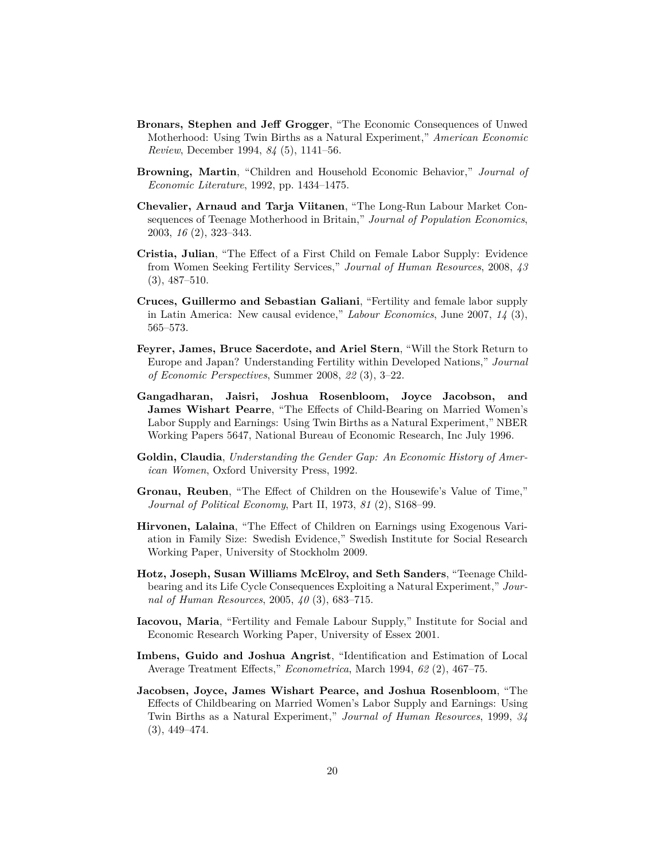- **Bronars, Stephen and Jeff Grogger**, "The Economic Consequences of Unwed Motherhood: Using Twin Births as a Natural Experiment," *American Economic Review*, December 1994, *84* (5), 1141–56.
- **Browning, Martin**, "Children and Household Economic Behavior," *Journal of Economic Literature*, 1992, pp. 1434–1475.
- **Chevalier, Arnaud and Tarja Viitanen**, "The Long-Run Labour Market Consequences of Teenage Motherhood in Britain," *Journal of Population Economics*, 2003, *16* (2), 323–343.
- **Cristia, Julian**, "The Effect of a First Child on Female Labor Supply: Evidence from Women Seeking Fertility Services," *Journal of Human Resources*, 2008, *43* (3), 487–510.
- **Cruces, Guillermo and Sebastian Galiani**, "Fertility and female labor supply in Latin America: New causal evidence," *Labour Economics*, June 2007, *14* (3), 565–573.
- **Feyrer, James, Bruce Sacerdote, and Ariel Stern**, "Will the Stork Return to Europe and Japan? Understanding Fertility within Developed Nations," *Journal of Economic Perspectives*, Summer 2008, *22* (3), 3–22.
- **Gangadharan, Jaisri, Joshua Rosenbloom, Joyce Jacobson, and James Wishart Pearre**, "The Effects of Child-Bearing on Married Women's Labor Supply and Earnings: Using Twin Births as a Natural Experiment," NBER Working Papers 5647, National Bureau of Economic Research, Inc July 1996.
- **Goldin, Claudia**, *Understanding the Gender Gap: An Economic History of American Women*, Oxford University Press, 1992.
- **Gronau, Reuben**, "The Effect of Children on the Housewife's Value of Time," *Journal of Political Economy*, Part II, 1973, *81* (2), S168–99.
- **Hirvonen, Lalaina**, "The Effect of Children on Earnings using Exogenous Variation in Family Size: Swedish Evidence," Swedish Institute for Social Research Working Paper, University of Stockholm 2009.
- **Hotz, Joseph, Susan Williams McElroy, and Seth Sanders**, "Teenage Childbearing and its Life Cycle Consequences Exploiting a Natural Experiment," *Journal of Human Resources*, 2005, *40* (3), 683–715.
- **Iacovou, Maria**, "Fertility and Female Labour Supply," Institute for Social and Economic Research Working Paper, University of Essex 2001.
- **Imbens, Guido and Joshua Angrist**, "Identification and Estimation of Local Average Treatment Effects," *Econometrica*, March 1994, *62* (2), 467–75.
- **Jacobsen, Joyce, James Wishart Pearce, and Joshua Rosenbloom**, "The Effects of Childbearing on Married Women's Labor Supply and Earnings: Using Twin Births as a Natural Experiment," *Journal of Human Resources*, 1999, *34* (3), 449–474.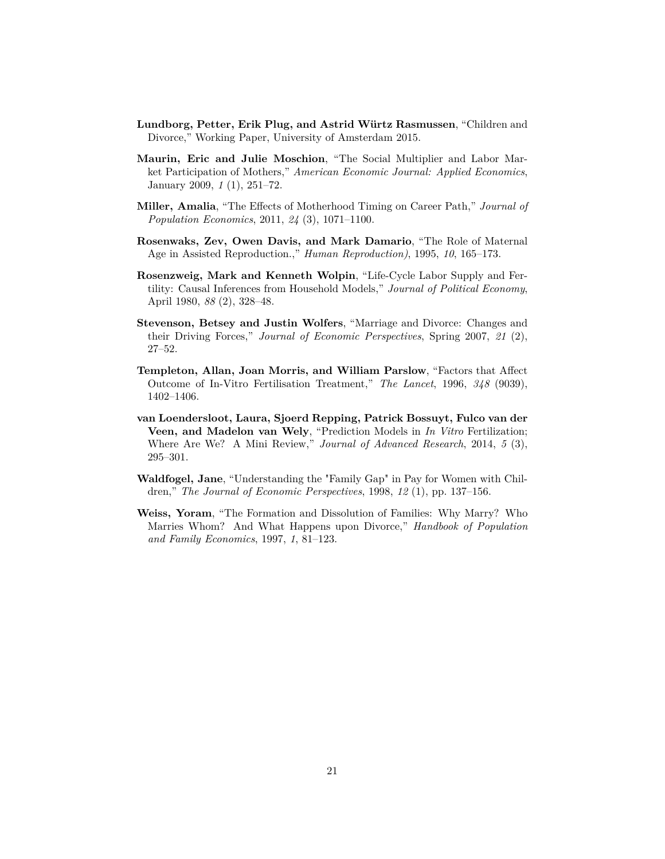- **Lundborg, Petter, Erik Plug, and Astrid Würtz Rasmussen**, "Children and Divorce," Working Paper, University of Amsterdam 2015.
- **Maurin, Eric and Julie Moschion**, "The Social Multiplier and Labor Market Participation of Mothers," *American Economic Journal: Applied Economics*, January 2009, *1* (1), 251–72.
- **Miller, Amalia**, "The Effects of Motherhood Timing on Career Path," *Journal of Population Economics*, 2011, *24* (3), 1071–1100.
- **Rosenwaks, Zev, Owen Davis, and Mark Damario**, "The Role of Maternal Age in Assisted Reproduction.," *Human Reproduction)*, 1995, *10*, 165–173.
- **Rosenzweig, Mark and Kenneth Wolpin**, "Life-Cycle Labor Supply and Fertility: Causal Inferences from Household Models," *Journal of Political Economy*, April 1980, *88* (2), 328–48.
- **Stevenson, Betsey and Justin Wolfers**, "Marriage and Divorce: Changes and their Driving Forces," *Journal of Economic Perspectives*, Spring 2007, *21* (2), 27–52.
- **Templeton, Allan, Joan Morris, and William Parslow**, "Factors that Affect Outcome of In-Vitro Fertilisation Treatment," *The Lancet*, 1996, *348* (9039), 1402–1406.
- **van Loendersloot, Laura, Sjoerd Repping, Patrick Bossuyt, Fulco van der Veen, and Madelon van Wely**, "Prediction Models in *In Vitro* Fertilization; Where Are We? A Mini Review," *Journal of Advanced Research*, 2014, *5* (3), 295–301.
- **Waldfogel, Jane**, "Understanding the "Family Gap" in Pay for Women with Children," *The Journal of Economic Perspectives*, 1998, *12* (1), pp. 137–156.
- **Weiss, Yoram**, "The Formation and Dissolution of Families: Why Marry? Who Marries Whom? And What Happens upon Divorce," *Handbook of Population and Family Economics*, 1997, *1*, 81–123.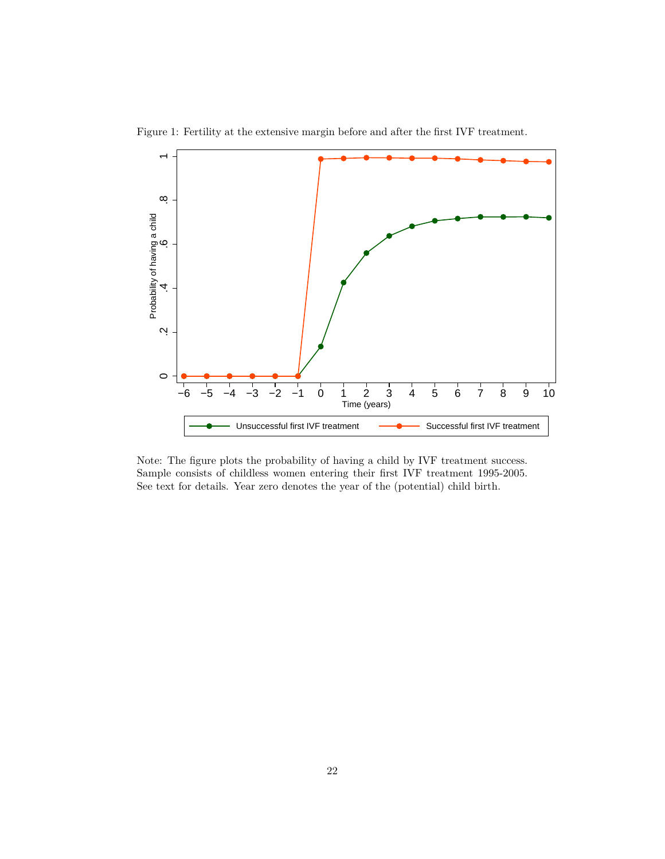

Figure 1: Fertility at the extensive margin before and after the first IVF treatment.

Note: The figure plots the probability of having a child by IVF treatment success. Sample consists of childless women entering their first IVF treatment 1995-2005. See text for details. Year zero denotes the year of the (potential) child birth.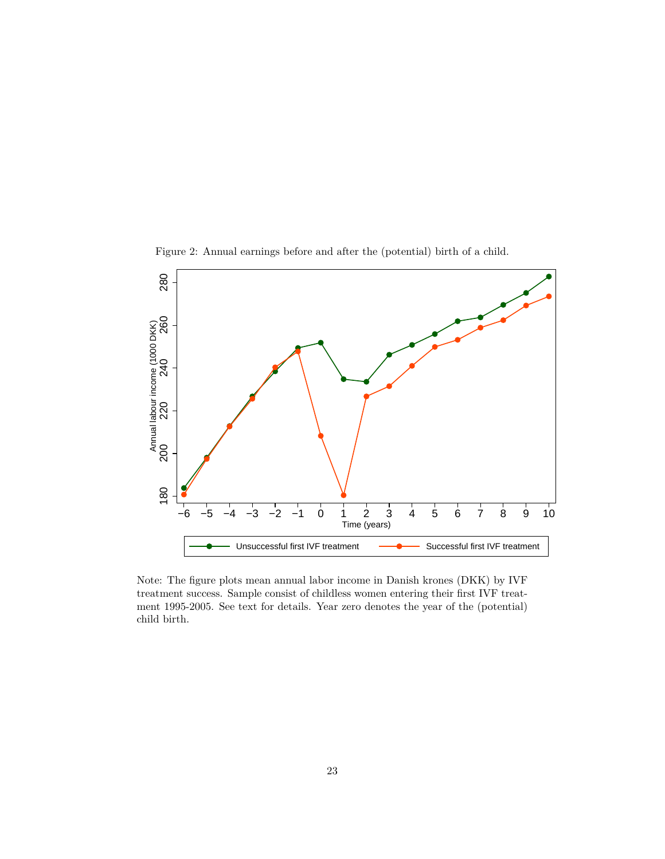



Note: The figure plots mean annual labor income in Danish krones (DKK) by IVF treatment success. Sample consist of childless women entering their first IVF treatment 1995-2005. See text for details. Year zero denotes the year of the (potential) child birth.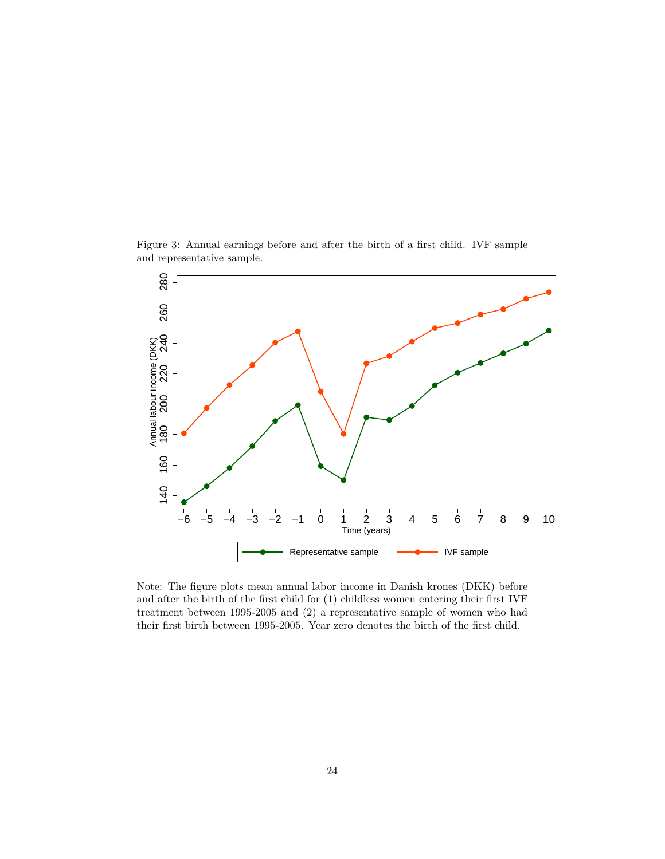Figure 3: Annual earnings before and after the birth of a first child. IVF sample and representative sample.



Note: The figure plots mean annual labor income in Danish krones (DKK) before and after the birth of the first child for (1) childless women entering their first IVF treatment between 1995-2005 and (2) a representative sample of women who had their first birth between 1995-2005. Year zero denotes the birth of the first child.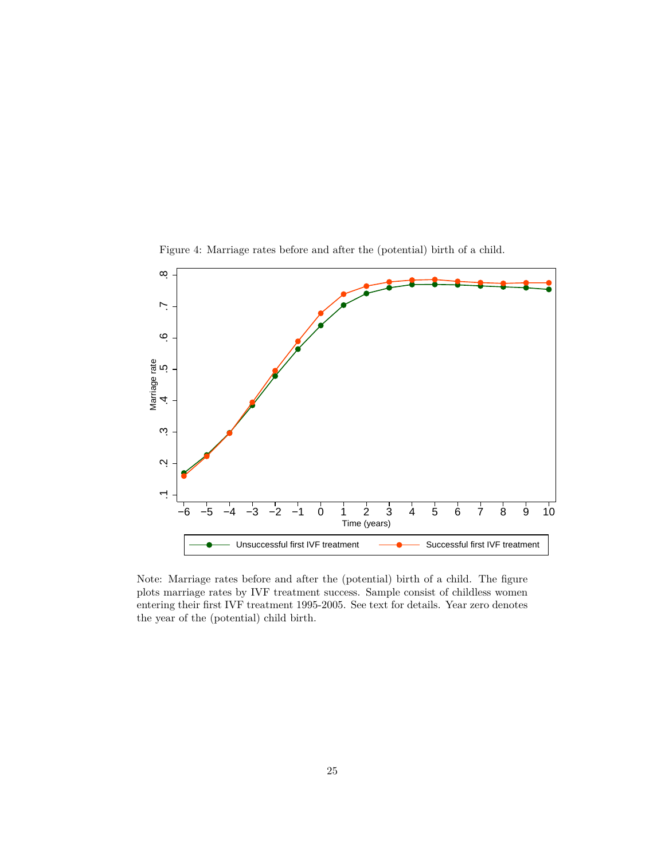

Figure 4: Marriage rates before and after the (potential) birth of a child.

Note: Marriage rates before and after the (potential) birth of a child. The figure plots marriage rates by IVF treatment success. Sample consist of childless women entering their first IVF treatment 1995-2005. See text for details. Year zero denotes the year of the (potential) child birth.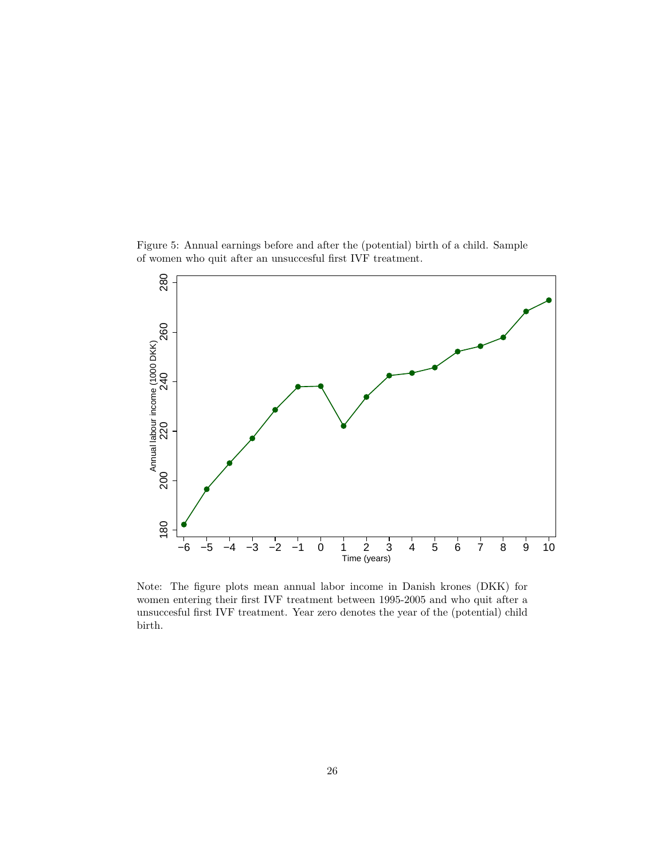Figure 5: Annual earnings before and after the (potential) birth of a child. Sample of women who quit after an unsuccesful first IVF treatment.



Note: The figure plots mean annual labor income in Danish krones (DKK) for women entering their first IVF treatment between 1995-2005 and who quit after a unsuccesful first IVF treatment. Year zero denotes the year of the (potential) child birth.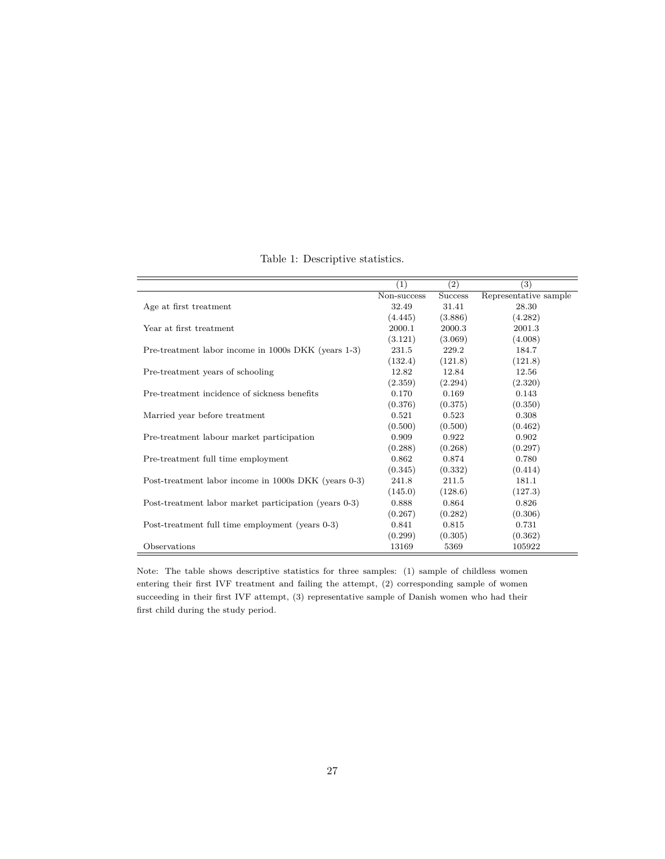|                                                       | (1)         | (2)            | (3)                   |
|-------------------------------------------------------|-------------|----------------|-----------------------|
|                                                       | Non-success | <b>Success</b> | Representative sample |
| Age at first treatment                                | 32.49       | 31.41          | 28.30                 |
|                                                       | (4.445)     | (3.886)        | (4.282)               |
| Year at first treatment                               | 2000.1      | 2000.3         | 2001.3                |
|                                                       | (3.121)     | (3.069)        | (4.008)               |
| Pre-treatment labor income in 1000s DKK (years 1-3)   | 231.5       | 229.2          | 184.7                 |
|                                                       | (132.4)     | (121.8)        | (121.8)               |
| Pre-treatment years of schooling                      | 12.82       | 12.84          | 12.56                 |
|                                                       | (2.359)     | (2.294)        | (2.320)               |
| Pre-treatment incidence of sickness benefits          | 0.170       | 0.169          | 0.143                 |
|                                                       | (0.376)     | (0.375)        | (0.350)               |
| Married year before treatment                         | 0.521       | 0.523          | 0.308                 |
|                                                       | (0.500)     | (0.500)        | (0.462)               |
| Pre-treatment labour market participation             | 0.909       | 0.922          | 0.902                 |
|                                                       | (0.288)     | (0.268)        | (0.297)               |
| Pre-treatment full time employment                    | 0.862       | 0.874          | 0.780                 |
|                                                       | (0.345)     | (0.332)        | (0.414)               |
| Post-treatment labor income in 1000s DKK (years 0-3)  | 241.8       | 211.5          | 181.1                 |
|                                                       | (145.0)     | (128.6)        | (127.3)               |
| Post-treatment labor market participation (years 0-3) | 0.888       | 0.864          | 0.826                 |
|                                                       | (0.267)     | (0.282)        | (0.306)               |
| Post-treatment full time employment (years 0-3)       | 0.841       | 0.815          | 0.731                 |
|                                                       | (0.299)     | (0.305)        | (0.362)               |
| Observations                                          | 13169       | 5369           | 105922                |

Table 1: Descriptive statistics.

Note: The table shows descriptive statistics for three samples: (1) sample of childless women entering their first IVF treatment and failing the attempt, (2) corresponding sample of women succeeding in their first IVF attempt, (3) representative sample of Danish women who had their first child during the study period.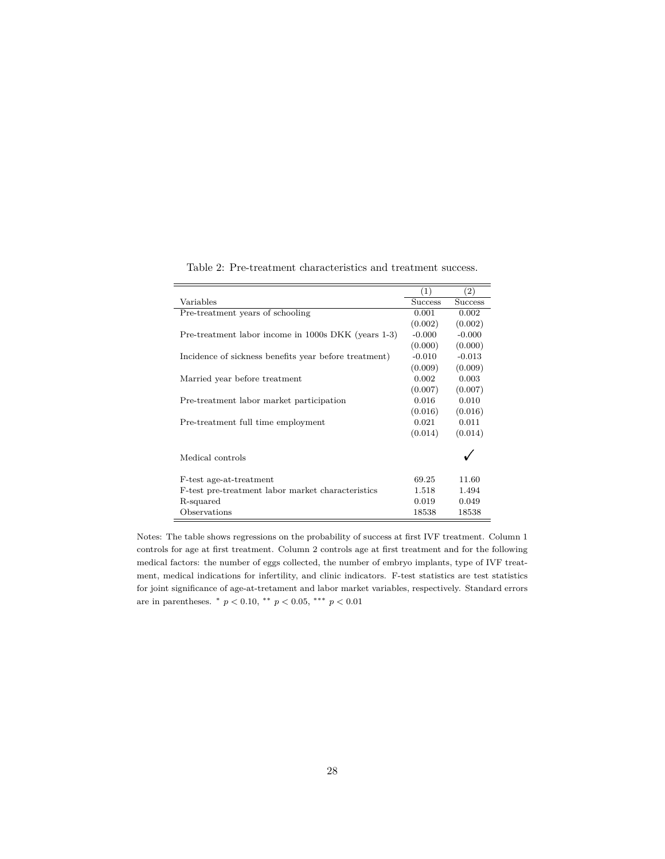|                                                       | (1)            | (2)            |
|-------------------------------------------------------|----------------|----------------|
| Variables                                             | <b>Success</b> | <b>Success</b> |
| Pre-treatment years of schooling                      | 0.001          | 0.002          |
|                                                       | (0.002)        | (0.002)        |
| Pre-treatment labor income in 1000s DKK (years 1-3)   | $-0.000$       | $-0.000$       |
|                                                       | (0.000)        | (0.000)        |
| Incidence of sickness benefits year before treatment) | $-0.010$       | $-0.013$       |
|                                                       | (0.009)        | (0.009)        |
| Married year before treatment                         | 0.002          | 0.003          |
|                                                       | (0.007)        | (0.007)        |
| Pre-treatment labor market participation              | 0.016          | 0.010          |
|                                                       | (0.016)        | (0.016)        |
| Pre-treatment full time employment                    | 0.021          | 0.011          |
|                                                       | (0.014)        | (0.014)        |
| Medical controls                                      |                |                |
| F-test age-at-treatment                               | 69.25          | 11.60          |
| F-test pre-treatment labor market characteristics     | 1.518          | 1.494          |
| R-squared                                             | 0.019          | 0.049          |
| Observations                                          | 18538          | 18538          |

Table 2: Pre-treatment characteristics and treatment success.

Notes: The table shows regressions on the probability of success at first IVF treatment. Column 1 controls for age at first treatment. Column 2 controls age at first treatment and for the following medical factors: the number of eggs collected, the number of embryo implants, type of IVF treatment, medical indications for infertility, and clinic indicators. F-test statistics are test statistics for joint significance of age-at-tretament and labor market variables, respectively. Standard errors are in parentheses.  $*$   $p < 0.10$ ,  $**$   $p < 0.05$ ,  $***$   $p < 0.01$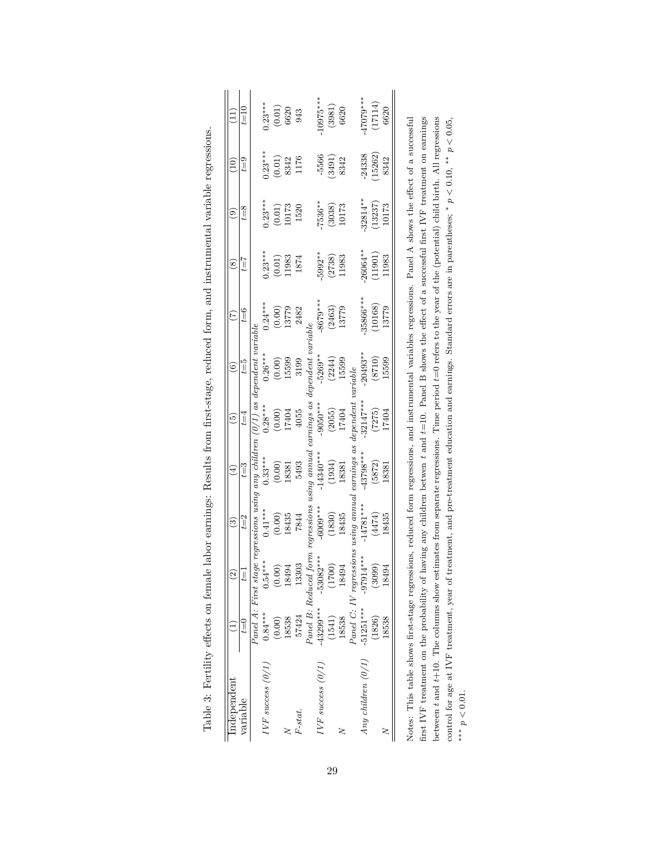| Independent           |             | $\overline{c}$                                                                                                                                                     | $\widehat{\mathfrak{G}}$ | $\left( \frac{4}{3} \right)$ | $\widehat{5}$     | $\circledcirc$    | E                 | $\overset{\sim}{\circ}$ | ම                          | $\widetilde{\Xi}$              |                                               |
|-----------------------|-------------|--------------------------------------------------------------------------------------------------------------------------------------------------------------------|--------------------------|------------------------------|-------------------|-------------------|-------------------|-------------------------|----------------------------|--------------------------------|-----------------------------------------------|
| variable              | Į           | $t=1$                                                                                                                                                              | $t = 2$                  | $t = 3$                      | $t = 4$           | $t=5$             | $t = 6$           | $z=1$                   | $t = 8$                    | $t = 9$                        | $t = 10$                                      |
|                       |             | Panel A: First stage regressions using any children $(0/1)$ as dependent variable                                                                                  |                          |                              |                   |                   |                   |                         |                            |                                |                                               |
| $IVF$ success $(0/1)$ | $0.84***$   | $0.54***$                                                                                                                                                          | $0.41***$                | $0.33***$                    | $0.28***$         | $0.26***$         | $0.24***$         | $0.23***$               | $0.23***$                  | $0.23***$                      | $0.23***$                                     |
|                       | (0.00)      | (0.00)                                                                                                                                                             | $(0.00)$<br>18435        | $(0.00)$<br>18381            | $(0.00)$<br>17404 | (0.00)            | (0.00)            | $(0.01)$<br>11983       | $\left( 0.01\right)$ 10173 |                                | $\begin{array}{c} (0.01) \\ 6620 \end{array}$ |
|                       | 18538       | 18494                                                                                                                                                              |                          |                              |                   | 15599             | 13779             |                         |                            | $(0.01)$<br>8342               |                                               |
| F-stat.               | 57424       | 13303                                                                                                                                                              | 7844                     | 5493                         | 4055              | 3199              | 2482              | 1874                    | 1520                       | 1176                           | 943                                           |
|                       |             |                                                                                                                                                                    |                          |                              |                   |                   |                   |                         |                            |                                |                                               |
| $IVF$ success $(0/1)$ | $-43299***$ | Panel B: Reduced form regressions using annual carnings as dependent variable<br>-43299***     -53082***     -6009***     -14340***    -9050***    -5269**     -86 |                          |                              |                   |                   | $-8679***$        | $-5992**$               | $7536**$                   |                                | $10975***$                                    |
|                       | (1541)      | (1700)                                                                                                                                                             | $(1830)$<br>$18435$      | $\left(1934\right)$ 18381    | $(2055)$<br>17404 | $(2244)$<br>15599 | $(2463)$<br>13779 | $(2738)$<br>11983       | $(3038)$<br>10173          | $\frac{-5566}{(3491)}$<br>8342 | $\begin{array}{c} (3981) \\ 6620 \end{array}$ |
|                       | 18538       | 18494                                                                                                                                                              |                          |                              |                   |                   |                   |                         |                            |                                |                                               |
|                       |             |                                                                                                                                                                    |                          |                              |                   |                   |                   |                         |                            |                                |                                               |
| Any children $(0/1)$  | $-51251***$ | $Pancl$ C: IV regressions using annual carnings as dependent variable<br>$-51251***$ $-97914***$ $-14781***$ $-43798***$ $-32147***$ $-2049$                       |                          |                              |                   | $-20493**$        | 35866***          | $-26064**$              | $-32814**$                 | $-24338$                       | $-47079***$                                   |
|                       | (1826)      | (3099)                                                                                                                                                             | $(4474)$<br>18435        | (5872)                       | (7275)            | (8710)            | (10168)           | (11901)                 | (13237)                    | (15262)                        | (17114)                                       |
|                       | 18538       | 94<br>184                                                                                                                                                          |                          | 18381                        | 17404             | 15599             | 13779             | 11983                   | 10173                      | 8342                           | 6620                                          |

|   | Ì                                                                                                                                                                                                                                                 |
|---|---------------------------------------------------------------------------------------------------------------------------------------------------------------------------------------------------------------------------------------------------|
|   |                                                                                                                                                                                                                                                   |
|   | ֖֖֖֖֖֖֖֖֖֪ׅ֖ׅ֪ׅ֪ׅ֪֪֪ׅ֖֧֚֚֚֚֚֚֚֚֚֚֚֚֚֚֚֚֚֚֬֝֝֬                                                                                                                                                                                                     |
|   | i<br>I                                                                                                                                                                                                                                            |
|   |                                                                                                                                                                                                                                                   |
|   | i<br>$\overline{a}$                                                                                                                                                                                                                               |
|   | l<br>i                                                                                                                                                                                                                                            |
|   |                                                                                                                                                                                                                                                   |
|   |                                                                                                                                                                                                                                                   |
|   | I<br>j<br>Ì                                                                                                                                                                                                                                       |
|   | ׇ֚֘֝֬<br>í<br>i                                                                                                                                                                                                                                   |
|   | ֧֧֧֧֧֦֧֦֧֦֧֧֦֧֦֧֦֧֦֧֧֧֧֧֧֧֧֧֧֛֧֧֧֧֧֧֧֧֧֛֧֧֛֚֚֚֚֝֓֓֓֓֓֓֓֓֓֓֓֓֓֓֓֓֝֬֓֓֝֬֝֓֝֬֝֬֝֬֓֓֝֬֝֬֝֬֝֬֓֬֝֬֝֬֝֬֝֬֬֬֬֝֬֝֬֬֬֬֬֝֬<br>֖֖֖֧֖֧ׅׅׅ֖֧ׅ֪֧֪֧֪֧֪֪֪֪֧֪֪֪֪֧֚֚֚֚֚֚֚֚֚֚֚֚֚֚֚֚֚֚֚֚֚֚֚֚֚֡֝֝֝֬֓֞֝֓֬֝֬֓֬֝֓֬֝֓֬֝֓֞֬֝֬֝֬֝                                             |
|   |                                                                                                                                                                                                                                                   |
|   | l                                                                                                                                                                                                                                                 |
|   |                                                                                                                                                                                                                                                   |
|   |                                                                                                                                                                                                                                                   |
|   |                                                                                                                                                                                                                                                   |
|   |                                                                                                                                                                                                                                                   |
|   | į                                                                                                                                                                                                                                                 |
|   | i<br>ŗ<br>i<br>֧֦֦֧ׅ֧֧֦֧ׅ֧ׅ֧ׅ֧֧ׅ֧֧֧֛֧֧֧֧֚֚֚֚֚֚֚֚֚֚֚֚֚֚֚֚֝֕֘֝֜֓֝֓֕֓֕֓֕֝֬֜֓֓֜֓֓֞֟֓֡֓֜֓֝֬֜֓֝֬֝֓֝֬֝֬֝֬֝֬֝                                                                                                                                             |
| ĺ | į<br>l                                                                                                                                                                                                                                            |
| ļ | la de la construcción de la construcción de la construcción de la construcción de la construcción de la construcción de la construcción de la construcción de la construcción de la construcción de la construcción de la con<br>j<br>ı<br>į<br>י |
|   |                                                                                                                                                                                                                                                   |
|   | ì<br>J<br>j<br>ׇ֚֓                                                                                                                                                                                                                                |

Notes: This table shows first-stage regressions, reduced form regressions, and instrumental variables regressions. Panel A shows the effect of a successful first IVF treatment on the probability of having any children betwen t and t=10. Panel B shows the effect of a successful first IVF treatment on earnings between  $t$  and  $t+10$ . The columns show estimates from separate regressions. Time period  $t=0$  refers to the year of the (potential) child birth. All regressions control for age at IVF treatment, year of treatment, and pre-treatment education and earnings. Standard errors are in parentheses; \*  $p < 0.10$ , \*\*  $p < 0.05$ , Notes: This table shows first-stage regressions, reduced form regressions, and instrumental variables regressions. Panel A shows the effect of a successful first IVF treatment on the probability of having any children betwen *t* and *t*=10. Panel B shows the effect of a successful first IVF treatment on earnings between *t* and *t*+10. The columns show estimates from separate regressions. Time period *t*=0 refers to the year of the (potential) child birth. All regressions *p <* 0*.*10, ∗∗ *p <* 0*.*05, control for age at IVF treatment, year of treatment, and pre-treatment education and earnings. Standard errors are in parentheses; ∗∗∗ *p <* 0*.*01.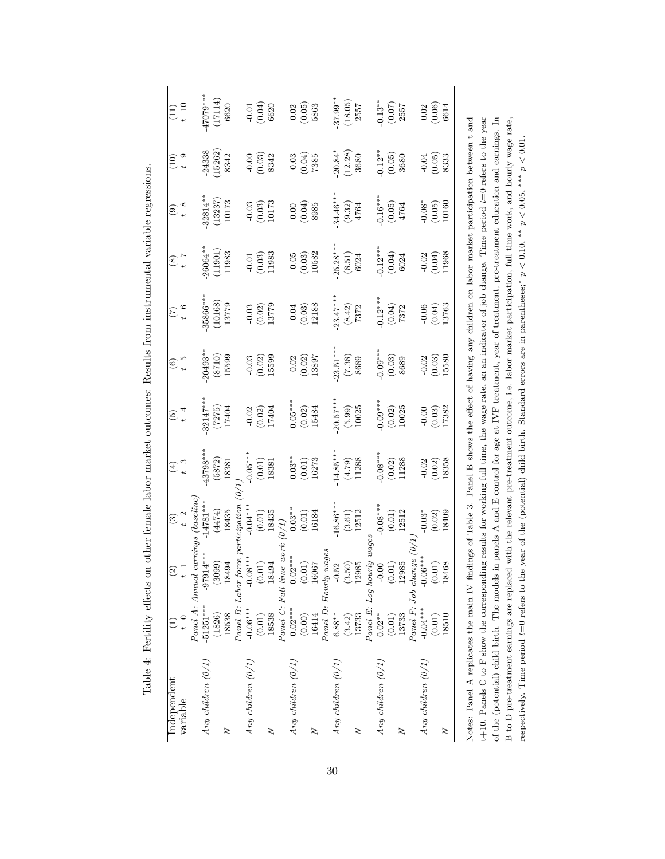| $\left( \frac{11}{11} \right)$<br>$\left(10\right)$ | $t = 10$<br>$t = 9$ |                                     | $47079***$<br>$-24338$ | (17114)<br>(15262)                   | 6620<br>8342      |                      | $-0.01$<br>$(0.04)$<br>6620<br>$-0.00$<br>$(0.03)$<br>$8342$                         |                                                |                 |                                                                 | $\begin{array}{c} 0.02 \\ (0.05) \\ 5863 \end{array}$<br>$(0.03)$<br>$(0.04)$<br>7385 |                   | $37.99***$<br>$20.84*$ | (18.05)<br>$\begin{array}{c} (12.28) \\ 3680 \end{array}$ | 2557                                          | $0.13***$<br>$-0.12**$ | $\begin{array}{c} (0.07) \\ 2557 \end{array}$<br>$\begin{array}{c} (0.05) \\ 3680 \end{array}$                                                                                                                       |                                                |                                                     | $\begin{array}{c} 0.02 \\ (0.06) \\ 6614 \end{array}$<br>$-0.04$<br>$(0.05)$<br>$8333$ |        |
|-----------------------------------------------------|---------------------|-------------------------------------|------------------------|--------------------------------------|-------------------|----------------------|--------------------------------------------------------------------------------------|------------------------------------------------|-----------------|-----------------------------------------------------------------|---------------------------------------------------------------------------------------|-------------------|------------------------|-----------------------------------------------------------|-----------------------------------------------|------------------------|----------------------------------------------------------------------------------------------------------------------------------------------------------------------------------------------------------------------|------------------------------------------------|-----------------------------------------------------|----------------------------------------------------------------------------------------|--------|
| $\widehat{e}$                                       | $t = 8$             |                                     | 32814**                | (13237)                              | 10173             |                      | $\begin{array}{c} -0.03 \\ (0.03) \\ 10173 \end{array}$                              |                                                |                 |                                                                 | $\begin{pmatrix} 0.00 \\ 0.04 \end{pmatrix}$<br>8985                                  |                   | $34.46***$             |                                                           | $\begin{array}{c} (9.32) \\ 4764 \end{array}$ | $0.16***$              |                                                                                                                                                                                                                      | $\begin{array}{c} (0.05) \\ 4764 \end{array}$  |                                                     | $-0.08^*$<br>$(0.05)$<br>10160                                                         |        |
| $\circledast$                                       | $z = t$             |                                     | 26064**                | (11901)                              | 11983             |                      | $\begin{array}{c} -0.01 \\ (0.03) \\ 11983 \end{array}$                              |                                                |                 |                                                                 | $\begin{array}{c} -0.05 \\ (0.03) \\ 10582 \end{array}$                               |                   | $25.28***$             |                                                           | $\begin{array}{c} (8.51) \\ 6024 \end{array}$ | $0.12***$              |                                                                                                                                                                                                                      | $\begin{array}{c} (0.04) \\ 6024 \end{array}$  |                                                     | $-0.02$<br>$(0.04)$<br>11968                                                           |        |
| (7)                                                 | $t = 6$             |                                     | 35866***               | (10168)                              | 13779             |                      | $(0.03)$<br>$(0.02)$<br>$(13779)$                                                    |                                                |                 |                                                                 | $\frac{-0.04}{(0.03)}$<br>12188                                                       |                   | $23.47**$              |                                                           | $\begin{array}{c} (8.42) \\ 7372 \end{array}$ | $0.12***$              |                                                                                                                                                                                                                      | $\begin{array}{c} (0.04) \\ 7372 \end{array}$  |                                                     | $\frac{-0.06}{(0.04)}$<br>13763                                                        |        |
| $\odot$                                             | $t = 5$             |                                     | 20493**                |                                      | $(8710)$<br>15599 |                      | $-0.03$<br>$(0.02)$<br>15599                                                         |                                                |                 |                                                                 | $-0.02$<br>$(0.02)$                                                                   | 13897             | $23.51***$             |                                                           | $(7.38)$<br>$8689$                            | $0.09**$               | $(0.03)$<br>8689                                                                                                                                                                                                     |                                                |                                                     | $-0.02$<br>$(0.03)$<br>$15580$                                                         |        |
| $\widetilde{5}$                                     | $t = 4$             |                                     | 32147***               | (7275)                               | 17404             | $-0.02$              | $(0.02)$<br>17404                                                                    |                                                |                 | $-0.05***$                                                      |                                                                                       | $(0.02)$<br>15484 | $20.57***$             | $(5.99)$<br>$10025$                                       |                                               | $-0.09***$             | $(0.02)$<br>10025                                                                                                                                                                                                    |                                                |                                                     | $\begin{array}{c} -0.00 \\ (0.03) \\ 17382 \end{array}$                                |        |
| $\widehat{E}$                                       | $t = 3$             |                                     | $-43798***$            | (5872)                               | 18381             | $-0.05***$           |                                                                                      | $\begin{array}{c} (0.01) \\ 18381 \end{array}$ |                 | $-0.03**$                                                       |                                                                                       | $(0.01)$<br>16273 | $14.85***$             |                                                           | $(4.79)$<br>11288                             | $0.08***$              | $\begin{array}{c} (0.02) \\ 11288 \end{array}$                                                                                                                                                                       |                                                | $-0.02$                                             | $(0.02)$<br>18358                                                                      |        |
| $\odot$                                             | $t = 2$             |                                     | $14781***$             | $(4474)$<br>18435<br>participation ( |                   |                      | $-0.04***$<br>(0.01)<br>18435                                                        |                                                | $(\ell/\delta)$ | $-0.03**$                                                       |                                                                                       | $(0.01)$<br>16184 | $16.86***$             | $\begin{array}{c} (3.61) \\ 12512 \end{array}$            |                                               | $0.08***$              |                                                                                                                                                                                                                      | $\begin{array}{c} (0.01) \\ 12512 \end{array}$ | $0.03*$                                             | $(0.02)$                                                                               | 18409  |
| $\widehat{\Omega}$                                  | İΤ                  | Panel A: Annual earnings (baseline, | $-97914***$            | (3099)                               | 18494             |                      |                                                                                      |                                                |                 | $\label{eq:panel} Panel~C: Full-time~work\\ -0.02***~~-0.02***$ | $\begin{array}{c} (0.01) \\ 16067 \end{array}$                                        |                   |                        |                                                           |                                               |                        |                                                                                                                                                                                                                      | 12985                                          | $Panel \ F: Job \ change (0) \ -0.04*** \ -0.06***$ | (0.01)                                                                                 | 18468  |
|                                                     | $t=0$               |                                     | $-51251***$            | (1826)                               | 18538             |                      | $Panel \ B: Labor \ force \ p=0.06*** \ -0.08*** \ (0.01) \ (0.01) \ (0.01) \ 18538$ |                                                |                 |                                                                 | (0.00)                                                                                | 16414             |                        |                                                           |                                               |                        | $\begin{array}{ll} Panel~D: \; Hordy~wages \\ 6.88^{**} & -0.52 & -16 \\ (3.42) & (3.50) & (3.50) \\ 13733 & 12985 & 1 \\ Land~E:~Log~hordy~wages \\ 0.02^{**} & -0.00 & -0 \\ (0.01) & (0.01) & (0.01) \end{array}$ | 13733                                          |                                                     | (0.01)                                                                                 | 18510  |
| Independent                                         | variable            |                                     | Any children $(0/1)$   |                                      | 2                 | Any children $(0/1)$ |                                                                                      | Z                                              |                 | Any children $(0/1)$                                            |                                                                                       | $\geq$            | Any children $(0/1)$   |                                                           | $\geq$                                        | Any children $(0/1)$   |                                                                                                                                                                                                                      | 2                                              | Any children $(0/1)$                                |                                                                                        | $\geq$ |

Table 4: Fertility effects on other female labor market outcomes: Results from instrumental variable regressions. Table 4: Fertility effects on other female labor market outcomes: Results from instrumental variable regressions.

 $+10$ . Panels C to F show the corresponding results for working full time, the wage rate, an an indicator of job change. Time period  $t=0$  refers to the year  $t+10$ . Panels C to F show the corresponding results for workin of the (potential) child birth. The models in panels A and E control for age at IVF treatment, year of treatment, pre-treatment education and earnings. In B to D pre-treatment earnings are replaced with the relevant pre-treatment outcome, i.e. labor market participation, full time work, and hourly wage rate, Notes: Panel A replicates the main IV findings of Table 3. Panel B shows the effect of having any children on labor market participation between t and t+10. Panels C to F show the corresponding results for working full time, the wage rate, an an indicator of job change. Time period *t*=0 refers to the year of the (potential) child birth. The models in panels A and E control for age at IVF treatment, year of treatment, pre-treatment education and earnings. In B to D pre-treatment earnings are replaced with the relevant pre-treatment outcome, i.e. labor market participation, full time work, and hourly wage rate, respectively. Time period  $t=0$  refers to the year of the (potential) child birth. Standard errors are in parentheses;\*  $p < 0.10$ , \*\*  $p < 0.05$ , \*\*\*  $p < 0.01$ . *p <* 0*.*10, ∗∗ *p <* 0*.*05, ∗∗∗ *p <* 0*.*01. respectively. Time period *t*=0 refers to the year of the (potential) child birth. Standard errors are in parentheses;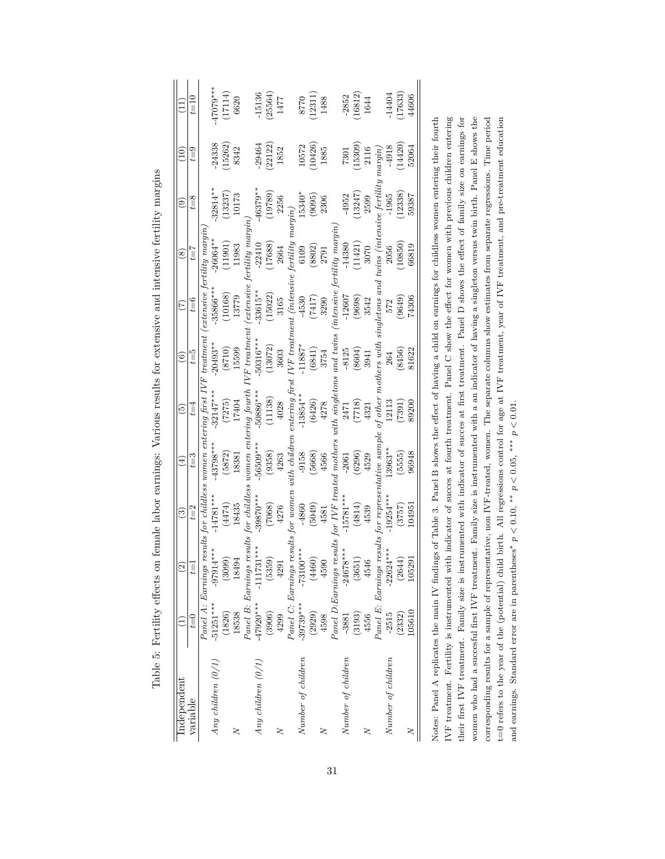|                      |             | $\widehat{c}$                                                                                                     | ව                  | $\bigoplus$ | စ              | $\widehat{\circ}$                             | $\widehat{\Xi}$             | $\circledast$               | ම                            | $\widehat{=}$ | Ξ          |
|----------------------|-------------|-------------------------------------------------------------------------------------------------------------------|--------------------|-------------|----------------|-----------------------------------------------|-----------------------------|-----------------------------|------------------------------|---------------|------------|
| variable             | $t=0$       | $t = 1$                                                                                                           | $t = 2$            | $t=3$       | $t = 4$        | $t=5$                                         | $t=6$                       | $t = 7$                     | $t = 8$                      | $t = 9$       | $t\!=\!10$ |
|                      |             | Panel A: Earnings results for childless women entering first IVF treatment (extensive fertility margin            |                    |             |                |                                               |                             |                             |                              |               |            |
| Any children $(0/1)$ | $-51251***$ | $-97914$                                                                                                          | $-14781***$        | $-43798***$ | $-32147***$    | $-20493**$                                    | 35866***                    | $-26064***$                 | $32814**$                    | 24338         | $47079***$ |
|                      | (1826)      | (3099)                                                                                                            | (4474)             | (5872)      | (7275)         | (8710)                                        | (10168)                     | (11901)                     | (13237)                      | (15262)       | (17114)    |
| z                    | 18538       | 18494                                                                                                             | 18435              | 18381       | 17404          | 15599                                         | 13779                       | 11983                       | 10173                        | 8342          | 6620       |
|                      |             | Panel B: Earnings results for childless women entering fourth                                                     |                    |             |                | $VF$ treatment                                |                             | extensive fertility margin, |                              |               |            |
| Any children $(0/1)$ | $-47920***$ | $***$<br>$-11173$                                                                                                 | $39870***$         | $56509***$  | $-50886***$    | $-50316***$                                   | $-33615**$                  | $-22410$                    | $46379**$                    | 29464         | 15136      |
|                      | (3906)      | (5359)                                                                                                            | (7068)             | (9358)      | (11138)        | (13072)                                       | (15022)                     | (17688)                     | (19789)                      | (22122)       | (25564)    |
| ξ                    | 4299        | 4291                                                                                                              | 4276               | 4263        | 4028           | 3603                                          | 3165                        | 2664                        | 2256                         | 1852          | 1477       |
|                      |             | Panel C: Earnings results for women with children                                                                 |                    |             | entering first |                                               | $IVF$ treatment (intensive) | fertility                   | margin)                      |               |            |
| Number of children   | $-39739***$ | $-73100***$                                                                                                       | -4860              | $-9158$     | $-13854***$    | 11887*                                        | $-4530$                     | 6109                        | 15340*                       | 10572         | 8770       |
|                      | (2929)      | (4460)                                                                                                            | (5049)             | (5668)      | (6426)         | $\begin{array}{c} (6841) \\ 3754 \end{array}$ | $(7417)$<br>3290            | $(8802)$<br>2791            | (9095)                       | 10426)        | (12311)    |
| 2                    | 4598        | 4590                                                                                                              | 4581               | 4566        | 4278           |                                               |                             |                             | 2306                         | 1885          | 1488       |
|                      |             | $P$ anel $D$ : $B$ arnings results for IVF treated mothers with singletons and twins (intensive fertility margin, |                    |             |                |                                               |                             |                             |                              |               |            |
| Number of children   | $-3881$     | $-24678***$                                                                                                       | $-15781***$        | $-2061$     | 2471           | $-8125$                                       | $-12607$                    | $-14380$                    | $-4952$                      | 7301          | $-2852$    |
|                      | (3193)      | (3651                                                                                                             |                    | (6296)      | (8177)         | $(8604)$<br>3941                              | $(9698)$<br>$3542$          | (11421)                     | (13247)                      | 15309)        | 16812)     |
| 2                    | 4556        | 4546                                                                                                              | $(4814)$<br>$4539$ | 4529        | 4321           |                                               |                             | 3070                        | 2599                         | 2116          | 1644       |
|                      |             | Panel E: Earnings results for representative sample of other mothers with                                         |                    |             |                |                                               | singletons and              |                             | $twins$ (intensive fertility | $margin)$     |            |
| Number of children   | $-2515$     | $-22624***$                                                                                                       | 19254***           | 13963**     | 12113          | 264                                           | 572                         | 2056                        | $-1965$                      | $-4918$       | $-14404$   |
|                      | (2332)      | (2644                                                                                                             | (3757)             | (5555)      | (7391)         | (8456)                                        | (9649)                      | 10850)                      | (12338)                      | (14420)       | 17633      |
| 2                    | 105610      | 10529                                                                                                             | 104951             | 96948       | 89200          | 81622                                         | 74306                       | 66819                       | 59387                        | 52064         | 44606      |

Table 5: Fertility effects on female labor earnings: Various results for extensive and intensive fertility margins Table 5: Fertility effects on female labor earnings: Various results for extensive and intensive fertility margins IVF treatment. Fertility is instrumented with indicator of succes at fourth treatment. Panel C show the effect for women with previous children entering their first IVF treatment. Family size is instrumented with indicator of succes at first treatment. Panel D shows the effect of family size on earnings for women who had a succesful first IVF treatment. Family size is instrumented with a an indicator of having a singleton versus twin birth. Panel E shows the corresponding results for a sample of representative, non IVF-treated, women. The separate columns show estimates from separate regressions. Time period t=0 refers to the year of the (potential) child birth. All regressions control for age at IVF treatment, year of IVF treatment, and pre-treatment education IVF treatment. Fertility is instrumented with indicator of succes at fourth treatment. Panel C show the effect for women with previous children entering their first IVF treatment. Family size is instrumented with indicator of succes at first treatment. Panel D shows the effect of family size on earnings for women who had a succesful first IVF treatment. Family size is instrumented with a an indicator of having a singleton versus twin birth. Panel E shows the corresponding results for a sample of representative, non IVF-treated, women. The separate columns show estimates from separate regressions. Time period t=0 refers to the year of the (potential) child birth. All regressions control for age at IVF treatment, year of IVF treatment, and pre-treatment education and earnings. Standard error are in parentheses\*  $p < 0.10$ , \*\*  $p < 0.05$ , \*\*\*  $p < 0.01$ . *p <* 0*.*10, ∗∗ *p <* 0*.*05, ∗∗∗ *p <* 0*.*01. and earnings. Standard error are in parentheses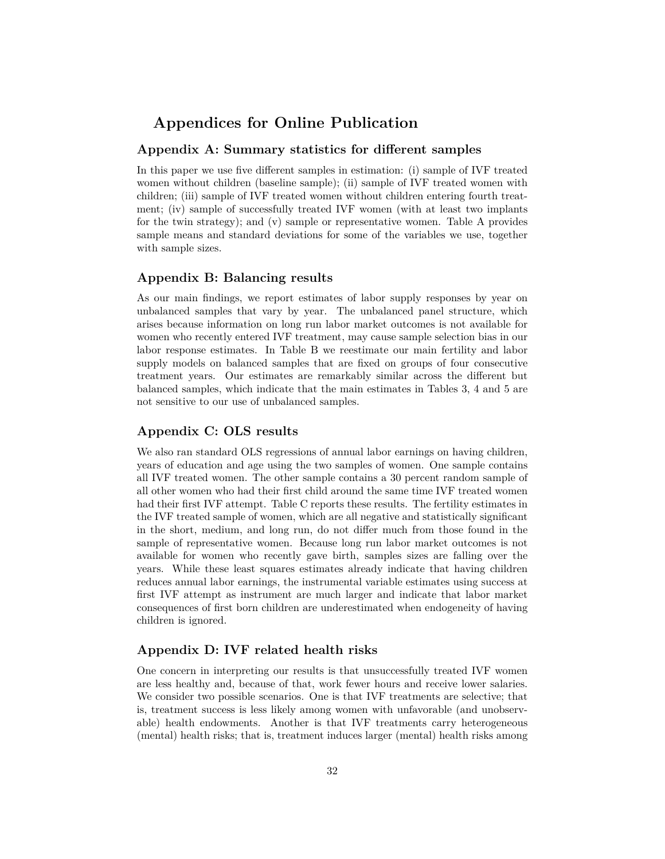## **Appendices for Online Publication**

#### **Appendix A: Summary statistics for different samples**

In this paper we use five different samples in estimation: (i) sample of IVF treated women without children (baseline sample); (ii) sample of IVF treated women with children; (iii) sample of IVF treated women without children entering fourth treatment; (iv) sample of successfully treated IVF women (with at least two implants for the twin strategy); and (v) sample or representative women. Table A provides sample means and standard deviations for some of the variables we use, together with sample sizes.

#### **Appendix B: Balancing results**

As our main findings, we report estimates of labor supply responses by year on unbalanced samples that vary by year. The unbalanced panel structure, which arises because information on long run labor market outcomes is not available for women who recently entered IVF treatment, may cause sample selection bias in our labor response estimates. In Table B we reestimate our main fertility and labor supply models on balanced samples that are fixed on groups of four consecutive treatment years. Our estimates are remarkably similar across the different but balanced samples, which indicate that the main estimates in Tables 3, 4 and 5 are not sensitive to our use of unbalanced samples.

#### **Appendix C: OLS results**

We also ran standard OLS regressions of annual labor earnings on having children, years of education and age using the two samples of women. One sample contains all IVF treated women. The other sample contains a 30 percent random sample of all other women who had their first child around the same time IVF treated women had their first IVF attempt. Table C reports these results. The fertility estimates in the IVF treated sample of women, which are all negative and statistically significant in the short, medium, and long run, do not differ much from those found in the sample of representative women. Because long run labor market outcomes is not available for women who recently gave birth, samples sizes are falling over the years. While these least squares estimates already indicate that having children reduces annual labor earnings, the instrumental variable estimates using success at first IVF attempt as instrument are much larger and indicate that labor market consequences of first born children are underestimated when endogeneity of having children is ignored.

### **Appendix D: IVF related health risks**

One concern in interpreting our results is that unsuccessfully treated IVF women are less healthy and, because of that, work fewer hours and receive lower salaries. We consider two possible scenarios. One is that IVF treatments are selective; that is, treatment success is less likely among women with unfavorable (and unobservable) health endowments. Another is that IVF treatments carry heterogeneous (mental) health risks; that is, treatment induces larger (mental) health risks among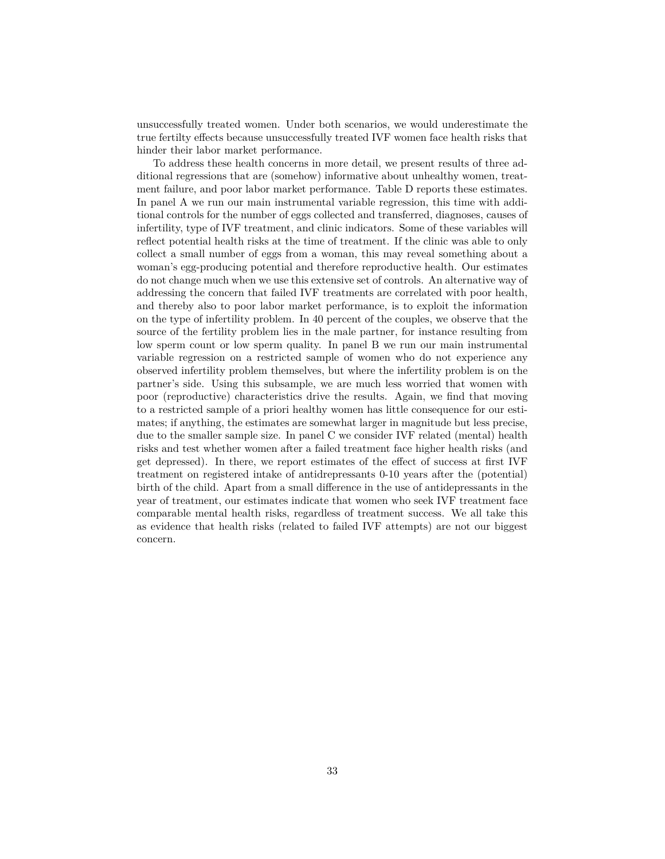unsuccessfully treated women. Under both scenarios, we would underestimate the true fertilty effects because unsuccessfully treated IVF women face health risks that hinder their labor market performance.

To address these health concerns in more detail, we present results of three additional regressions that are (somehow) informative about unhealthy women, treatment failure, and poor labor market performance. Table D reports these estimates. In panel A we run our main instrumental variable regression, this time with additional controls for the number of eggs collected and transferred, diagnoses, causes of infertility, type of IVF treatment, and clinic indicators. Some of these variables will reflect potential health risks at the time of treatment. If the clinic was able to only collect a small number of eggs from a woman, this may reveal something about a woman's egg-producing potential and therefore reproductive health. Our estimates do not change much when we use this extensive set of controls. An alternative way of addressing the concern that failed IVF treatments are correlated with poor health, and thereby also to poor labor market performance, is to exploit the information on the type of infertility problem. In 40 percent of the couples, we observe that the source of the fertility problem lies in the male partner, for instance resulting from low sperm count or low sperm quality. In panel B we run our main instrumental variable regression on a restricted sample of women who do not experience any observed infertility problem themselves, but where the infertility problem is on the partner's side. Using this subsample, we are much less worried that women with poor (reproductive) characteristics drive the results. Again, we find that moving to a restricted sample of a priori healthy women has little consequence for our estimates; if anything, the estimates are somewhat larger in magnitude but less precise, due to the smaller sample size. In panel C we consider IVF related (mental) health risks and test whether women after a failed treatment face higher health risks (and get depressed). In there, we report estimates of the effect of success at first IVF treatment on registered intake of antidrepressants 0-10 years after the (potential) birth of the child. Apart from a small difference in the use of antidepressants in the year of treatment, our estimates indicate that women who seek IVF treatment face comparable mental health risks, regardless of treatment success. We all take this as evidence that health risks (related to failed IVF attempts) are not our biggest concern.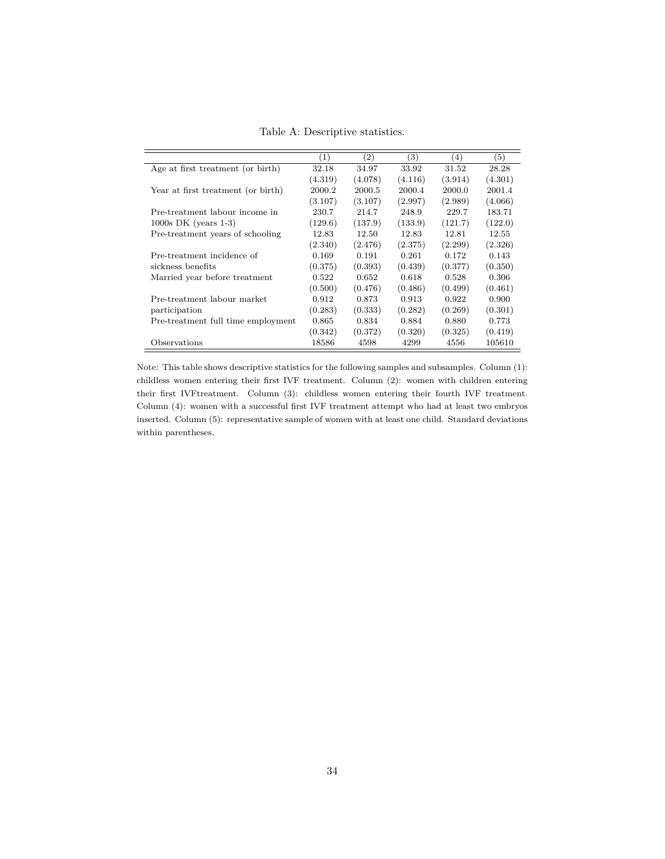Table A: Descriptive statistics.

|                                    | (1)     | (2)     | 3)      | (4)     | (5)     |
|------------------------------------|---------|---------|---------|---------|---------|
| Age at first treatment (or birth)  | 32.18   | 34.97   | 33.92   | 31.52   | 28.28   |
|                                    | (4.319) | (4.078) | (4.116) | (3.914) | (4.301) |
| Year at first treatment (or birth) | 2000.2  | 2000.5  | 2000.4  | 2000.0  | 2001.4  |
|                                    | (3.107) | (3.107) | (2.997) | (2.989) | (4.066) |
| Pre-treatment labour income in     | 230.7   | 214.7   | 248.9   | 229.7   | 183.71  |
| $1000s$ DK (years 1-3)             | (129.6) | (137.9) | (133.9) | (121.7) | (122.0) |
| Pre-treatment years of schooling   | 12.83   | 12.50   | 12.83   | 12.81   | 12.55   |
|                                    | (2.340) | (2.476) | (2.375) | (2.299) | (2.326) |
| Pre-treatment incidence of         | 0.169   | 0.191   | 0.261   | 0.172   | 0.143   |
| sickness benefits                  | (0.375) | (0.393) | (0.439) | (0.377) | (0.350) |
| Married year before treatment      | 0.522   | 0.652   | 0.618   | 0.528   | 0.306   |
|                                    | (0.500) | (0.476) | (0.486) | (0.499) | (0.461) |
| Pre-treatment labour market        | 0.912   | 0.873   | 0.913   | 0.922   | 0.900   |
| participation                      | (0.283) | (0.333) | (0.282) | (0.269) | (0.301) |
| Pre-treatment full time employment | 0.865   | 0.834   | 0.884   | 0.880   | 0.773   |
|                                    | (0.342) | (0.372) | (0.320) | (0.325) | (0.419) |
| Observations                       | 18586   | 4598    | 4299    | 4556    | 105610  |

Note: This table shows descriptive statistics for the following samples and subsamples. Column (1): childless women entering their first IVF treatment. Column (2): women with children entering their first IVFtreatment. Column (3): childless women entering their fourth IVF treatment. Column (4): women with a successful first IVF treatment attempt who had at least two embryos inserted. Column (5): representative sample of women with at least one child. Standard deviations within parentheses.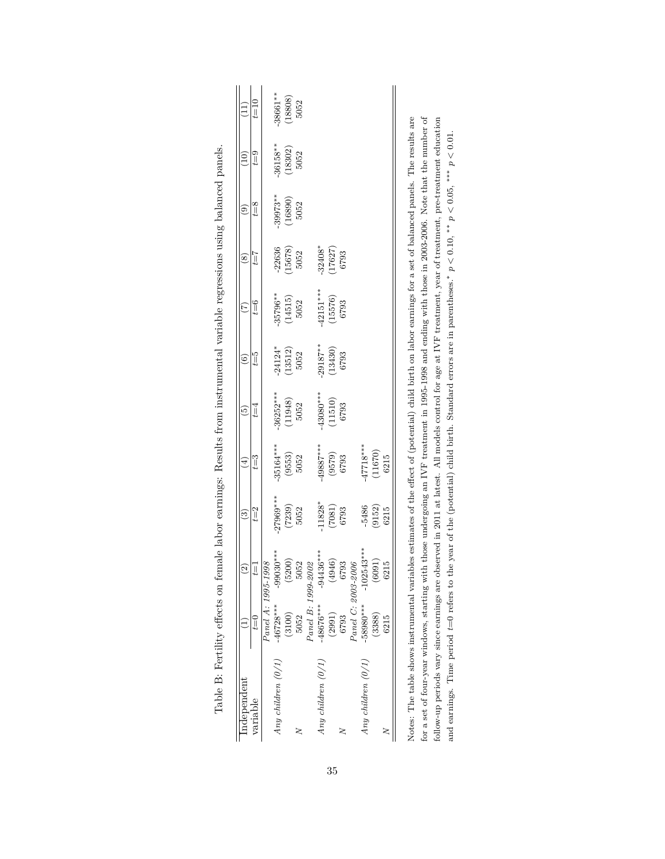|                          | $t\equiv 10$<br>$t = 9$ |                    | 38661**<br>$-36158**$ | $\begin{array}{c} (18808) \\ 5052 \end{array}$<br>$\begin{array}{c} (18302) \\ 5052 \end{array}$ |      |                    |                      |                                 |      |                    |                                   |                                                          |      |
|--------------------------|-------------------------|--------------------|-----------------------|--------------------------------------------------------------------------------------------------|------|--------------------|----------------------|---------------------------------|------|--------------------|-----------------------------------|----------------------------------------------------------|------|
| ತಿ                       | $t=8$                   |                    | $-39973**$            | $\begin{array}{c} (16890) \\ 5052 \end{array}$                                                   |      |                    |                      |                                 |      |                    |                                   |                                                          |      |
| ⊗                        | $t = 7$                 |                    | $-22636$              | $(15678)$<br>$5052$                                                                              |      |                    |                      | $-32408^*$<br>(17627)<br>6793   |      |                    |                                   |                                                          |      |
| Ë                        | $t=6$                   |                    |                       | $-35796**$<br>(14515)<br>5052                                                                    |      |                    |                      | $-42151***$<br>(15576)<br>(6793 |      |                    |                                   |                                                          |      |
| ම                        | $t=5$                   |                    |                       | $-24124$<br>(13512)<br>5052                                                                      |      |                    |                      | $-29187**$<br>(13430)<br>(5793  |      |                    |                                   |                                                          |      |
| စ                        | $t = 4$                 |                    |                       | $-36252***$<br>(11948)<br>5052                                                                   |      |                    |                      | $-43080***$<br>(11510)<br>(6793 |      |                    |                                   |                                                          |      |
| $\widehat{\pm}$          | $t = 3$                 |                    | $-35164***$           | $\begin{array}{c} (9553) \\ 5052 \end{array}$                                                    |      |                    | ****2885             | $(9579)$<br>$6793$              |      |                    | $-47718***$<br>(11670)<br>(11670) |                                                          |      |
| ල                        | $t = 2$                 |                    | $-27969***$           | $(7239)$<br>$5052$                                                                               |      |                    | $11828*$             | $(7081)$<br>6793                |      |                    | -5486                             | $\begin{array}{c} \left(9152\right) \\ 6215 \end{array}$ |      |
| $\widehat{\mathfrak{D}}$ | Ī                       |                    | $-99030$ ***          | (5200)                                                                                           | 052  |                    | $-94436***$          | 946)<br>4                       | 793  |                    | $-102543***$                      | $\overline{50}$<br>ತ್ರ                                   | 215  |
|                          | $t\equiv 0$             | Panel A: 1995-1998 | $-46728***$           | (3100)                                                                                           | 5052 | Panel B: 1999-2002 | $-48676***$          | (2991)                          | 6793 | Panel C: 2003-2006 | -58980 ***                        | (3388)                                                   | 6215 |
| Independent              | variable                |                    | Any children (0/1)    |                                                                                                  |      |                    | Any children $(0/1)$ |                                 |      |                    | Any children $(0/1)$              |                                                          |      |

|   | ĺ                                                            |
|---|--------------------------------------------------------------|
|   |                                                              |
|   | l<br>I                                                       |
|   |                                                              |
|   |                                                              |
|   |                                                              |
|   | Ì<br>J                                                       |
|   | <br> <br> <br>                                               |
|   | j                                                            |
|   | -<br>-<br>-<br>-<br>-<br>-<br>-<br><br>-<br><br><br><br><br> |
|   |                                                              |
|   |                                                              |
|   | i                                                            |
|   | ١                                                            |
|   | l                                                            |
|   | こうしょう こうこう                                                   |
|   | į                                                            |
|   | -<br>-<br>-<br>-                                             |
|   | j                                                            |
|   | ֖֖֖֚֚֚֚֚֚֚֚֚֚֚֚֚֚֬֡֡֡֡֡֬֝֬֝֓֡֬֝֬֝֓֬֝֓֬֝֓֬֝֓֬֝֓֬              |
|   | l                                                            |
|   | į                                                            |
|   | ļ                                                            |
|   | i                                                            |
|   |                                                              |
|   |                                                              |
|   | .<br>.<br>.                                                  |
|   |                                                              |
|   |                                                              |
|   | j                                                            |
|   |                                                              |
|   | į                                                            |
|   | I                                                            |
|   |                                                              |
| ļ | I                                                            |
|   | I                                                            |
|   | Ì                                                            |
|   |                                                              |
|   |                                                              |
|   |                                                              |
|   |                                                              |
|   |                                                              |
|   |                                                              |
|   |                                                              |
|   |                                                              |
|   | i<br>j                                                       |
|   |                                                              |
|   | i<br>i<br>١                                                  |
|   | $\overline{1}$                                               |
|   |                                                              |
| ĺ | ا<br>ا                                                       |
|   | .<br>Stati<br>$\mathbf{I}$                                   |
|   |                                                              |
|   |                                                              |
|   | i                                                            |
|   | l                                                            |
| ļ | י                                                            |
| ļ | l                                                            |
|   |                                                              |
|   | ł<br>١                                                       |
|   | ׇ֚֕֡                                                         |

for a set of four-year windows, starting with those undergoing an IVF treatment in 1995-1998 and ending with those in 2003-2006. Note that the number of follow-up periods vary since earnings are observed in 2011 at latest. All models control for age at IVF treatment, year of treatment, pre-treatment education and earnings. Time period  $t=0$  refers to the year of the (pote for a set of four-year windows, starting with those undergoing an IVF treatment in 1995-1998 and ending with those in 2003-2006. Note that the number of follow-up periods vary since earnings are observed in 2011 at latest. All models control for age at IVF treatment, year of treatment, pre-treatment education *p <* 0*.*10, ∗∗ *p <* 0*.*05, ∗∗∗ *p <* 0*.*01. and earnings. Time period *t*=0 refers to the year of the (potential) child birth. Standard errors are in parentheses.  $\tilde{\mathbf{z}}$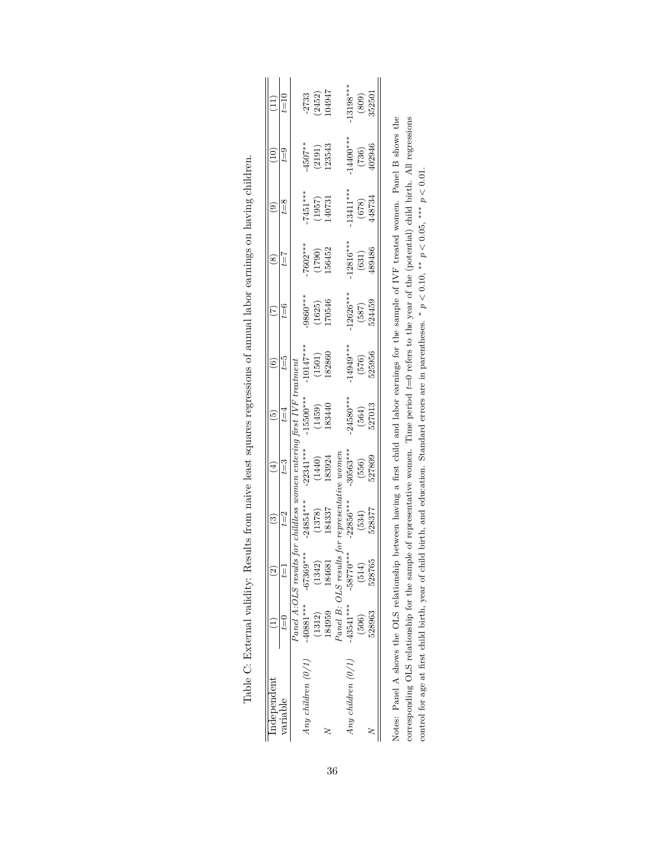| ndependent           |                     |                               | ව                                              |                                                                                                                                                                                                                                        | $\widetilde{\mathbf{e}}$       |                                           |                                |                                         |                                         |                                          |                                |
|----------------------|---------------------|-------------------------------|------------------------------------------------|----------------------------------------------------------------------------------------------------------------------------------------------------------------------------------------------------------------------------------------|--------------------------------|-------------------------------------------|--------------------------------|-----------------------------------------|-----------------------------------------|------------------------------------------|--------------------------------|
| variable             | $t = 0$             | $t=1$                         | $t = 2$                                        | $t = 3$                                                                                                                                                                                                                                | $t = 4$                        | $t=5$                                     | $t = 6$                        | $\zeta = 7$                             | $t = 8$                                 | $\mathfrak{g}_{\square}$                 | ם<br>∏                         |
|                      | Panel A:OLS results |                               |                                                |                                                                                                                                                                                                                                        |                                |                                           |                                |                                         |                                         |                                          |                                |
| Any children $(0/1)$ | $-40881***$         | $-67369***$                   |                                                |                                                                                                                                                                                                                                        |                                |                                           |                                |                                         |                                         |                                          |                                |
|                      | (1312)              | (1342)                        |                                                | $\begin{array}{rl} \textit{hildless} & women\textit{ entering first IVF treatment} \ \textit{24854***} & -22341*** & -15500*** & -10147' \ (1378) & (1440) & (1459) & (1501) \ \textit{184337} & 183924 & 183440 & 182860 \end{array}$ |                                | $-10147***$<br>(1501)<br>(1501)<br>182860 | $-9860***$<br>(1625)<br>170546 | $7602***$<br>(1790)<br>(1790)<br>156452 | $\frac{7451***}{(1957)}$<br>140731      | $\frac{4507**}{(2191)}$<br>123543        | $-2733$<br>$(2452)$<br>$04947$ |
|                      | 184959              | 184681                        |                                                |                                                                                                                                                                                                                                        |                                |                                           |                                |                                         |                                         |                                          |                                |
|                      |                     | $P$ anel B: OLS results for r |                                                |                                                                                                                                                                                                                                        |                                |                                           |                                |                                         |                                         |                                          |                                |
| Any children $(0/1)$ | $-43541***$         | $-58770**$                    | representative women<br>-22856***    -30563*** |                                                                                                                                                                                                                                        |                                |                                           |                                |                                         |                                         |                                          |                                |
|                      | (506)               | (514)                         | $(534)$<br>$528377$                            | $-30563***$<br>(556)<br>527809                                                                                                                                                                                                         | $-24580***$<br>(564)<br>527013 | $-14949***$<br>$(576)$<br>$525956$        | $-12626***$<br>(587)<br>524459 | $\frac{(6316***)}{(631)}$<br>489486     | $-13411***$<br>(678)<br>(678)<br>448734 | $^{14400***}_{(736)}$<br>(736)<br>402946 | $-13198***$<br>(809)<br>352501 |
|                      | 528963              | 528765                        |                                                |                                                                                                                                                                                                                                        |                                |                                           |                                |                                         |                                         |                                          |                                |

|                               | ֧֧֧֧֧֧ׅ֧֧֧֧ׅ֛֪֛֛֛֧֛֧֛֧֛֧֛ׅ֧֛֚֚֚֚֚֚֚֚֚֚֚֚֚֚֚֚֚֚֚֚֚֡֕֓֡֟֓֕֝֓֝֓֝֟֓֟֓֟֓֝֟֓֝֬֜֓֟֓֟֓֝֬֜֓֓֜<br>l<br>ί<br>i |
|-------------------------------|-----------------------------------------------------------------------------------------------------|
|                               | )<br>ו<br>ו<br>i<br>֖֖֖֖֖֚֚֚֚֚֚֚֬֝֓֡                                                                |
|                               | i<br>$\ddot{\phantom{a}}$<br>l                                                                      |
|                               | l                                                                                                   |
|                               | <br> <br> <br>l                                                                                     |
|                               | ١<br>ļ                                                                                              |
|                               | $\frac{1}{2}$                                                                                       |
|                               | $\frac{1}{2}$<br>l<br>i<br>i                                                                        |
|                               | ļ<br>j                                                                                              |
|                               | $\overline{\phantom{a}}$                                                                            |
|                               | $\frac{1}{2}$                                                                                       |
|                               | .<br>.<br>.                                                                                         |
|                               | į                                                                                                   |
| I                             | l                                                                                                   |
|                               | $\frac{1}{2}$                                                                                       |
|                               | <br> <br> <br>                                                                                      |
|                               | ֖֖֦֦ׅ֪֦֪֦֖֧֪ׅ֖֧֪֪ׅ֧֚֚֚֚֚֚֚֚֚֚֡֕֝֝֡֡֝֬֝֝֝֝֝֓֓֝֬                                                      |
| ļ                             | l<br>-<br>-<br>-<br>-<br>-<br>-<br>.<br>Caroli<br>$\frac{1}{2}$<br>$\frac{1}{2}$                    |
| Ï                             |                                                                                                     |
|                               | ì                                                                                                   |
| $\overline{\phantom{a}}$<br>I | 3<br>ı                                                                                              |

Notes: Panel A shows the OLS relationship between having a first child and labor earnings for the sample of IVF treated women. Panel B shows the corresponding OLS relationship for the sample of representative women. Time period  $t=0$  refers to the year of the (potential) child birth. All regressions Notes: Panel A shows the OLS relationship between having a first child and labor earnings for the sample of IVF treated women. Panel B shows the corresponding OLS relationship for the sample of representative women. Time period *t*=0 refers to the year of the (potential) child birth. All regressions control for age at first child birth, year of child birth, and education. Standard errors are in parentheses. \*  $p < 0.10$ , \*\*  $p < 0.05$ , \*\*\*  $p < 0.01$ . *p <* 0*.*10, ∗∗ *p <* 0*.*05, ∗∗∗ *p <* 0*.*01. control for age at first child birth, year of child birth, and education. Standard errors are in parentheses.